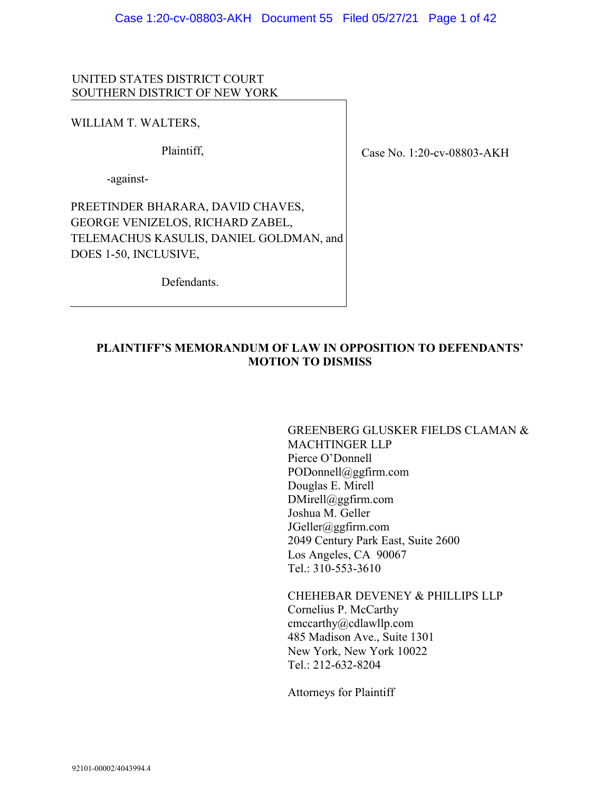#### UNITED STATES DISTRICT COURT SOUTHERN DISTRICT OF NEW YORK

#### WILLIAM T. WALTERS,

Plaintiff,

-against-

PREETINDER BHARARA, DAVID CHAVES, GEORGE VENIZELOS, RICHARD ZABEL, TELEMACHUS KASULIS, DANIEL GOLDMAN, and DOES 1-50, INCLUSIVE,

Case No. 1:20-cv-08803-AKH

Defendants.

## **PLAINTIFF'S MEMORANDUM OF LAW IN OPPOSITION TO DEFENDANTS' MOTION TO DISMISS**

GREENBERG GLUSKER FIELDS CLAMAN & MACHTINGER LLP Pierce O'Donnell PODonnell@ggfirm.com Douglas E. Mirell DMirell@ggfirm.com Joshua M. Geller JGeller@ggfirm.com 2049 Century Park East, Suite 2600 Los Angeles, CA 90067 Tel.: 310-553-3610

CHEHEBAR DEVENEY & PHILLIPS LLP Cornelius P. McCarthy cmccarthy@cdlawllp.com 485 Madison Ave., Suite 1301 New York, New York 10022 Tel.: 212-632-8204

Attorneys for Plaintiff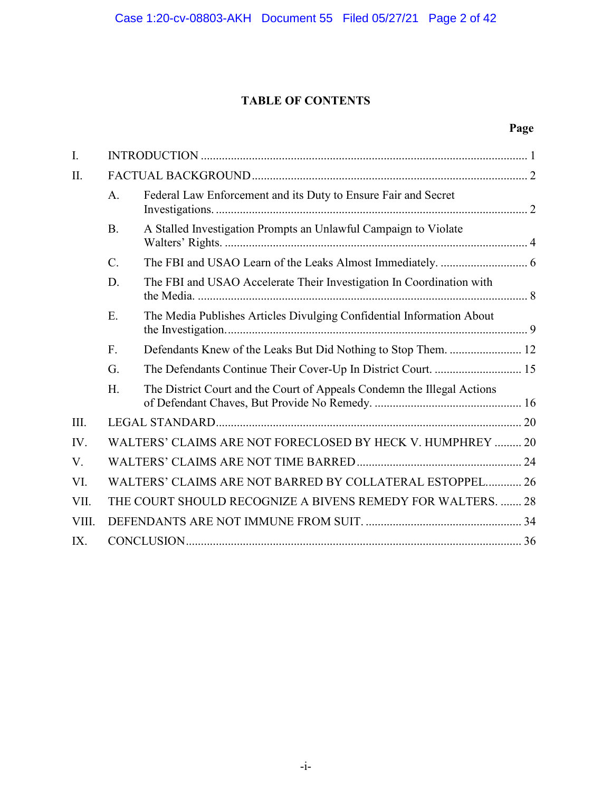# **TABLE OF CONTENTS**

## **Page**

| I.    |                 |                                                                         |  |
|-------|-----------------|-------------------------------------------------------------------------|--|
| II.   |                 |                                                                         |  |
|       | A.              | Federal Law Enforcement and its Duty to Ensure Fair and Secret          |  |
|       | <b>B.</b>       | A Stalled Investigation Prompts an Unlawful Campaign to Violate         |  |
|       | $\mathcal{C}$ . |                                                                         |  |
|       | D.              | The FBI and USAO Accelerate Their Investigation In Coordination with    |  |
|       | E.              | The Media Publishes Articles Divulging Confidential Information About   |  |
|       | F.              |                                                                         |  |
|       | G.              | The Defendants Continue Their Cover-Up In District Court.  15           |  |
|       | H.              | The District Court and the Court of Appeals Condemn the Illegal Actions |  |
| III.  |                 |                                                                         |  |
| IV.   |                 | WALTERS' CLAIMS ARE NOT FORECLOSED BY HECK V. HUMPHREY  20              |  |
| V.    |                 |                                                                         |  |
| VI.   |                 | WALTERS' CLAIMS ARE NOT BARRED BY COLLATERAL ESTOPPEL 26                |  |
| VII.  |                 | THE COURT SHOULD RECOGNIZE A BIVENS REMEDY FOR WALTERS.  28             |  |
| VIII. |                 |                                                                         |  |
| IX.   |                 |                                                                         |  |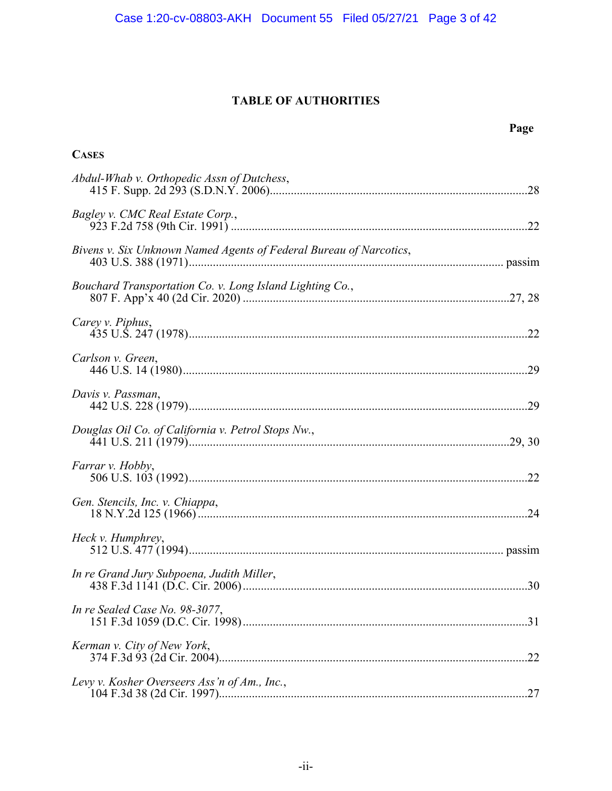# **TABLE OF AUTHORITIES**

## **Page**

| <b>CASES</b>                                                       |
|--------------------------------------------------------------------|
| Abdul-Whab v. Orthopedic Assn of Dutchess,                         |
| Bagley v. CMC Real Estate Corp.,                                   |
| Bivens v. Six Unknown Named Agents of Federal Bureau of Narcotics, |
| Bouchard Transportation Co. v. Long Island Lighting Co.,           |
| Carey v. Piphus,                                                   |
| Carlson v. Green,                                                  |
| Davis v. Passman,                                                  |
| Douglas Oil Co. of California v. Petrol Stops Nw.,                 |
| Farrar v. Hobby,                                                   |
| Gen. Stencils, Inc. v. Chiappa,                                    |
| Heck v. Humphrey,                                                  |
| In re Grand Jury Subpoena, Judith Miller,                          |
| In re Sealed Case No. 98-3077,                                     |
| Kerman v. City of New York,                                        |
| Levy v. Kosher Overseers Ass'n of Am., Inc.,                       |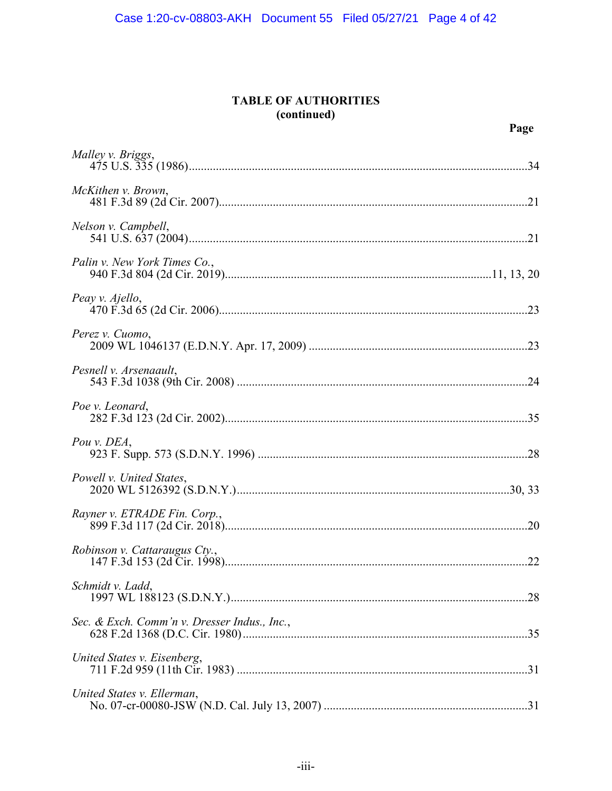## **TABLE OF AUTHORITIES** (continued)

| Malley v. Briggs,                            |
|----------------------------------------------|
| McKithen v. Brown,                           |
| Nelson v. Campbell,                          |
| Palin v. New York Times Co.,                 |
| Peay v. Ajello,                              |
| Perez v. Cuomo,                              |
| Pesnell v. Arsenaault,                       |
| Poe v. Leonard,                              |
| Pou v. DEA,                                  |
| Powell v. United States,                     |
| Rayner v. ETRADE Fin. Corp.,                 |
| Robinson v. Cattaraugus Cty.,                |
| Schmidt v. Ladd,<br>.28                      |
| Sec. & Exch. Comm'n v. Dresser Indus., Inc., |
| United States v. Eisenberg,                  |
| United States v. Ellerman,                   |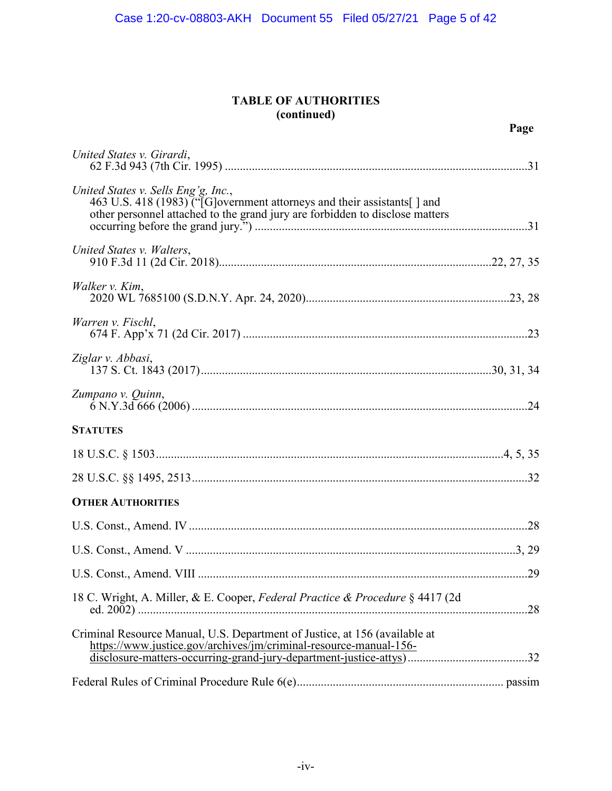## **TABLE OF AUTHORITIES (continued)**

| United States v. Girardi,                                                                                                                                                                       |  |
|-------------------------------------------------------------------------------------------------------------------------------------------------------------------------------------------------|--|
| United States v. Sells Eng'g, Inc.,<br>463 U.S. 418 (1983) ("[G] overnment attorneys and their assistants[] and<br>other personnel attached to the grand jury are forbidden to disclose matters |  |
| United States v. Walters,                                                                                                                                                                       |  |
| Walker v. Kim,                                                                                                                                                                                  |  |
| Warren v. Fischl,                                                                                                                                                                               |  |
| Ziglar v. Abbasi,                                                                                                                                                                               |  |
| Zumpano v. Quinn,                                                                                                                                                                               |  |
| <b>STATUTES</b>                                                                                                                                                                                 |  |
|                                                                                                                                                                                                 |  |
|                                                                                                                                                                                                 |  |
| <b>OTHER AUTHORITIES</b>                                                                                                                                                                        |  |
|                                                                                                                                                                                                 |  |
|                                                                                                                                                                                                 |  |
|                                                                                                                                                                                                 |  |
| 18 C. Wright, A. Miller, & E. Cooper, Federal Practice & Procedure § 4417 (2d                                                                                                                   |  |
| Criminal Resource Manual, U.S. Department of Justice, at 156 (available at<br>https://www.justice.gov/archives/jm/criminal-resource-manual-156-                                                 |  |
|                                                                                                                                                                                                 |  |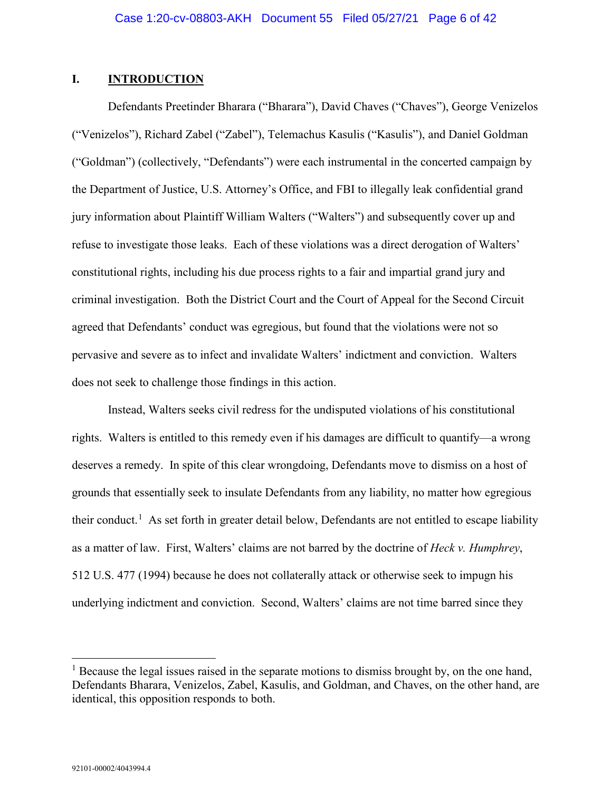#### <span id="page-5-0"></span>**I. INTRODUCTION**

Defendants Preetinder Bharara ("Bharara"), David Chaves ("Chaves"), George Venizelos ("Venizelos"), Richard Zabel ("Zabel"), Telemachus Kasulis ("Kasulis"), and Daniel Goldman ("Goldman") (collectively, "Defendants") were each instrumental in the concerted campaign by the Department of Justice, U.S. Attorney's Office, and FBI to illegally leak confidential grand jury information about Plaintiff William Walters ("Walters") and subsequently cover up and refuse to investigate those leaks. Each of these violations was a direct derogation of Walters' constitutional rights, including his due process rights to a fair and impartial grand jury and criminal investigation. Both the District Court and the Court of Appeal for the Second Circuit agreed that Defendants' conduct was egregious, but found that the violations were not so pervasive and severe as to infect and invalidate Walters' indictment and conviction. Walters does not seek to challenge those findings in this action.

Instead, Walters seeks civil redress for the undisputed violations of his constitutional rights. Walters is entitled to this remedy even if his damages are difficult to quantify—a wrong deserves a remedy. In spite of this clear wrongdoing, Defendants move to dismiss on a host of grounds that essentially seek to insulate Defendants from any liability, no matter how egregious their conduct.<sup>[1](#page-5-1)</sup> As set forth in greater detail below, Defendants are not entitled to escape liability as a matter of law. First, Walters' claims are not barred by the doctrine of *Heck v. Humphrey*, 512 U.S. 477 (1994) because he does not collaterally attack or otherwise seek to impugn his underlying indictment and conviction. Second, Walters' claims are not time barred since they

<span id="page-5-1"></span> $<sup>1</sup>$  Because the legal issues raised in the separate motions to dismiss brought by, on the one hand,</sup> Defendants Bharara, Venizelos, Zabel, Kasulis, and Goldman, and Chaves, on the other hand, are identical, this opposition responds to both.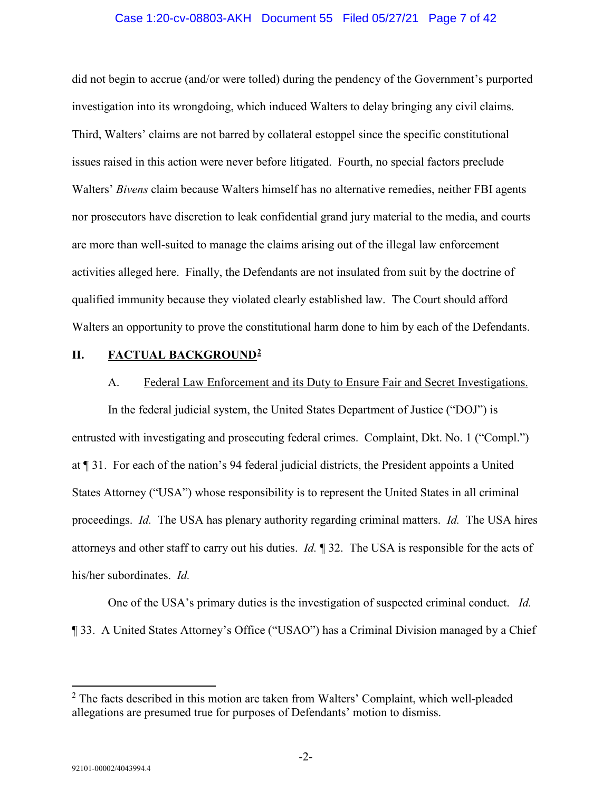#### Case 1:20-cv-08803-AKH Document 55 Filed 05/27/21 Page 7 of 42

did not begin to accrue (and/or were tolled) during the pendency of the Government's purported investigation into its wrongdoing, which induced Walters to delay bringing any civil claims. Third, Walters' claims are not barred by collateral estoppel since the specific constitutional issues raised in this action were never before litigated. Fourth, no special factors preclude Walters' *Bivens* claim because Walters himself has no alternative remedies, neither FBI agents nor prosecutors have discretion to leak confidential grand jury material to the media, and courts are more than well-suited to manage the claims arising out of the illegal law enforcement activities alleged here. Finally, the Defendants are not insulated from suit by the doctrine of qualified immunity because they violated clearly established law. The Court should afford Walters an opportunity to prove the constitutional harm done to him by each of the Defendants.

#### <span id="page-6-1"></span><span id="page-6-0"></span>**II. FACTUAL BACKGROUND[2](#page-6-2)**

#### A. Federal Law Enforcement and its Duty to Ensure Fair and Secret Investigations.

In the federal judicial system, the United States Department of Justice ("DOJ") is entrusted with investigating and prosecuting federal crimes. Complaint, Dkt. No. 1 ("Compl.") at ¶ 31. For each of the nation's 94 federal judicial districts, the President appoints a United States Attorney ("USA") whose responsibility is to represent the United States in all criminal proceedings. *Id.* The USA has plenary authority regarding criminal matters. *Id.* The USA hires attorneys and other staff to carry out his duties. *Id.* ¶ 32. The USA is responsible for the acts of his/her subordinates. *Id.*

One of the USA's primary duties is the investigation of suspected criminal conduct. *Id.* ¶ 33. A United States Attorney's Office ("USAO") has a Criminal Division managed by a Chief

<span id="page-6-2"></span> $2$  The facts described in this motion are taken from Walters' Complaint, which well-pleaded allegations are presumed true for purposes of Defendants' motion to dismiss.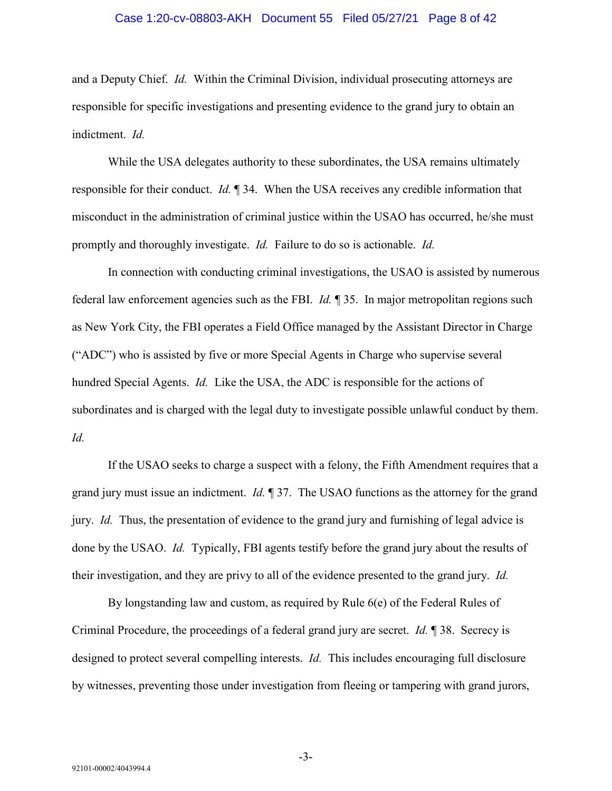#### Case 1:20-cv-08803-AKH Document 55 Filed 05/27/21 Page 8 of 42

and a Deputy Chief. *Id.* Within the Criminal Division, individual prosecuting attorneys are responsible for specific investigations and presenting evidence to the grand jury to obtain an indictment. *Id.*

While the USA delegates authority to these subordinates, the USA remains ultimately responsible for their conduct. *Id.* ¶ 34. When the USA receives any credible information that misconduct in the administration of criminal justice within the USAO has occurred, he/she must promptly and thoroughly investigate. *Id.* Failure to do so is actionable. *Id.*

In connection with conducting criminal investigations, the USAO is assisted by numerous federal law enforcement agencies such as the FBI. *Id.* ¶ 35. In major metropolitan regions such as New York City, the FBI operates a Field Office managed by the Assistant Director in Charge ("ADC") who is assisted by five or more Special Agents in Charge who supervise several hundred Special Agents. *Id.* Like the USA, the ADC is responsible for the actions of subordinates and is charged with the legal duty to investigate possible unlawful conduct by them. *Id.*

If the USAO seeks to charge a suspect with a felony, the Fifth Amendment requires that a grand jury must issue an indictment. *Id.* ¶ 37. The USAO functions as the attorney for the grand jury. *Id.* Thus, the presentation of evidence to the grand jury and furnishing of legal advice is done by the USAO. *Id.* Typically, FBI agents testify before the grand jury about the results of their investigation, and they are privy to all of the evidence presented to the grand jury. *Id.*

By longstanding law and custom, as required by Rule 6(e) of the Federal Rules of Criminal Procedure, the proceedings of a federal grand jury are secret. *Id.* ¶ 38. Secrecy is designed to protect several compelling interests. *Id.* This includes encouraging full disclosure by witnesses, preventing those under investigation from fleeing or tampering with grand jurors,

-3-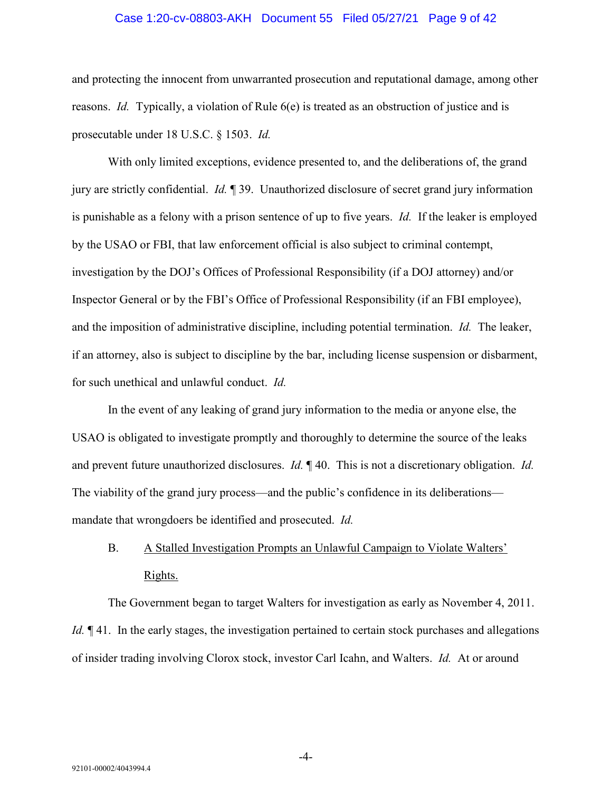#### Case 1:20-cv-08803-AKH Document 55 Filed 05/27/21 Page 9 of 42

and protecting the innocent from unwarranted prosecution and reputational damage, among other reasons. *Id.* Typically, a violation of Rule 6(e) is treated as an obstruction of justice and is prosecutable under 18 U.S.C. § 1503. *Id.*

With only limited exceptions, evidence presented to, and the deliberations of, the grand jury are strictly confidential. *Id.* ¶ 39. Unauthorized disclosure of secret grand jury information is punishable as a felony with a prison sentence of up to five years. *Id.* If the leaker is employed by the USAO or FBI, that law enforcement official is also subject to criminal contempt, investigation by the DOJ's Offices of Professional Responsibility (if a DOJ attorney) and/or Inspector General or by the FBI's Office of Professional Responsibility (if an FBI employee), and the imposition of administrative discipline, including potential termination. *Id.* The leaker, if an attorney, also is subject to discipline by the bar, including license suspension or disbarment, for such unethical and unlawful conduct. *Id.*

In the event of any leaking of grand jury information to the media or anyone else, the USAO is obligated to investigate promptly and thoroughly to determine the source of the leaks and prevent future unauthorized disclosures. *Id.* ¶ 40. This is not a discretionary obligation. *Id.* The viability of the grand jury process—and the public's confidence in its deliberations mandate that wrongdoers be identified and prosecuted. *Id.*

# <span id="page-8-0"></span>B. A Stalled Investigation Prompts an Unlawful Campaign to Violate Walters' Rights.

The Government began to target Walters for investigation as early as November 4, 2011. *Id.*  $\P$  41. In the early stages, the investigation pertained to certain stock purchases and allegations of insider trading involving Clorox stock, investor Carl Icahn, and Walters. *Id.* At or around

-4-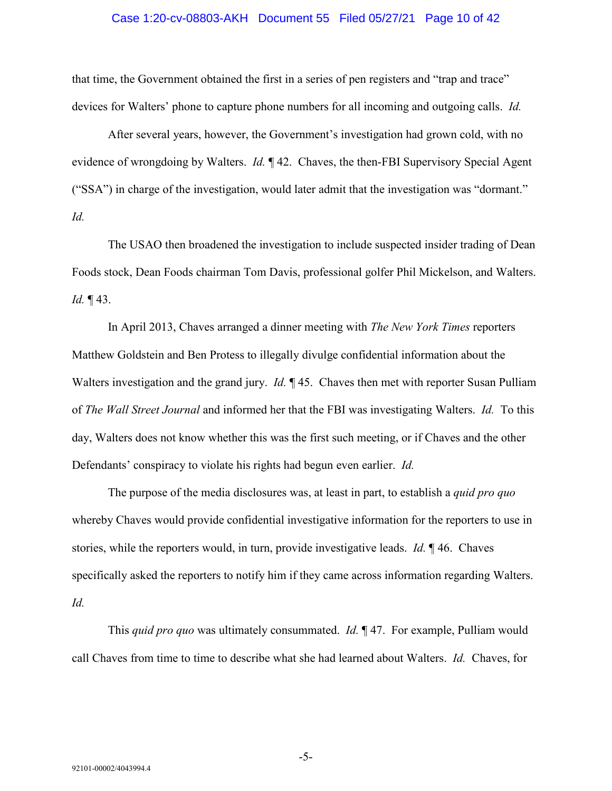#### Case 1:20-cv-08803-AKH Document 55 Filed 05/27/21 Page 10 of 42

that time, the Government obtained the first in a series of pen registers and "trap and trace" devices for Walters' phone to capture phone numbers for all incoming and outgoing calls. *Id.*

After several years, however, the Government's investigation had grown cold, with no evidence of wrongdoing by Walters. *Id.* ¶ 42. Chaves, the then-FBI Supervisory Special Agent ("SSA") in charge of the investigation, would later admit that the investigation was "dormant." *Id.*

The USAO then broadened the investigation to include suspected insider trading of Dean Foods stock, Dean Foods chairman Tom Davis, professional golfer Phil Mickelson, and Walters. *Id.* ¶ 43.

In April 2013, Chaves arranged a dinner meeting with *The New York Times* reporters Matthew Goldstein and Ben Protess to illegally divulge confidential information about the Walters investigation and the grand jury. *Id.* ¶ 45. Chaves then met with reporter Susan Pulliam of *The Wall Street Journal* and informed her that the FBI was investigating Walters. *Id.* To this day, Walters does not know whether this was the first such meeting, or if Chaves and the other Defendants' conspiracy to violate his rights had begun even earlier. *Id.*

The purpose of the media disclosures was, at least in part, to establish a *quid pro quo* whereby Chaves would provide confidential investigative information for the reporters to use in stories, while the reporters would, in turn, provide investigative leads. *Id.* ¶ 46. Chaves specifically asked the reporters to notify him if they came across information regarding Walters. *Id.*

This *quid pro quo* was ultimately consummated. *Id.* ¶ 47. For example, Pulliam would call Chaves from time to time to describe what she had learned about Walters. *Id.* Chaves, for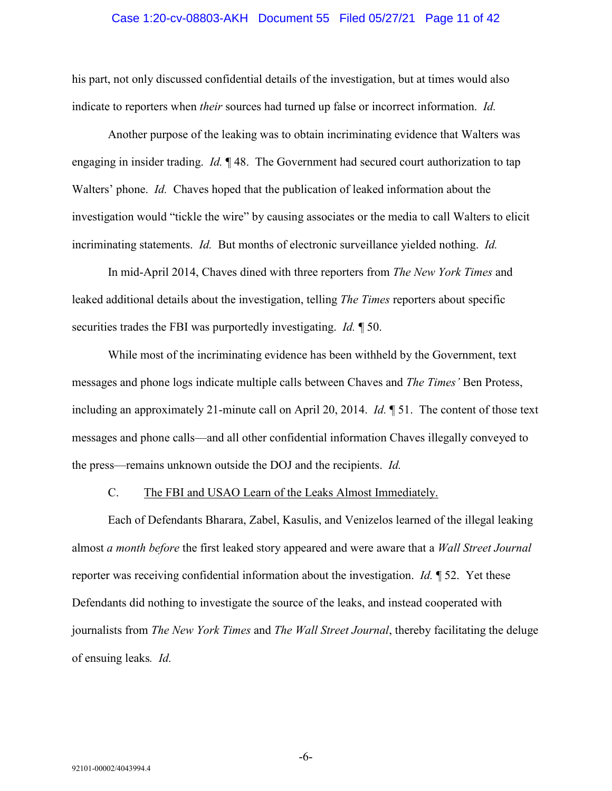#### Case 1:20-cv-08803-AKH Document 55 Filed 05/27/21 Page 11 of 42

his part, not only discussed confidential details of the investigation, but at times would also indicate to reporters when *their* sources had turned up false or incorrect information. *Id.*

Another purpose of the leaking was to obtain incriminating evidence that Walters was engaging in insider trading. *Id.* ¶ 48. The Government had secured court authorization to tap Walters' phone. *Id.* Chaves hoped that the publication of leaked information about the investigation would "tickle the wire" by causing associates or the media to call Walters to elicit incriminating statements. *Id.* But months of electronic surveillance yielded nothing. *Id.*

In mid-April 2014, Chaves dined with three reporters from *The New York Times* and leaked additional details about the investigation, telling *The Times* reporters about specific securities trades the FBI was purportedly investigating. *Id.* ¶ 50.

While most of the incriminating evidence has been withheld by the Government, text messages and phone logs indicate multiple calls between Chaves and *The Times'* Ben Protess, including an approximately 21-minute call on April 20, 2014. *Id.* ¶ 51. The content of those text messages and phone calls—and all other confidential information Chaves illegally conveyed to the press—remains unknown outside the DOJ and the recipients. *Id.*

#### C. The FBI and USAO Learn of the Leaks Almost Immediately.

<span id="page-10-0"></span>Each of Defendants Bharara, Zabel, Kasulis, and Venizelos learned of the illegal leaking almost *a month before* the first leaked story appeared and were aware that a *Wall Street Journal*  reporter was receiving confidential information about the investigation. *Id.* ¶ 52. Yet these Defendants did nothing to investigate the source of the leaks, and instead cooperated with journalists from *The New York Times* and *The Wall Street Journal*, thereby facilitating the deluge of ensuing leaks*. Id.*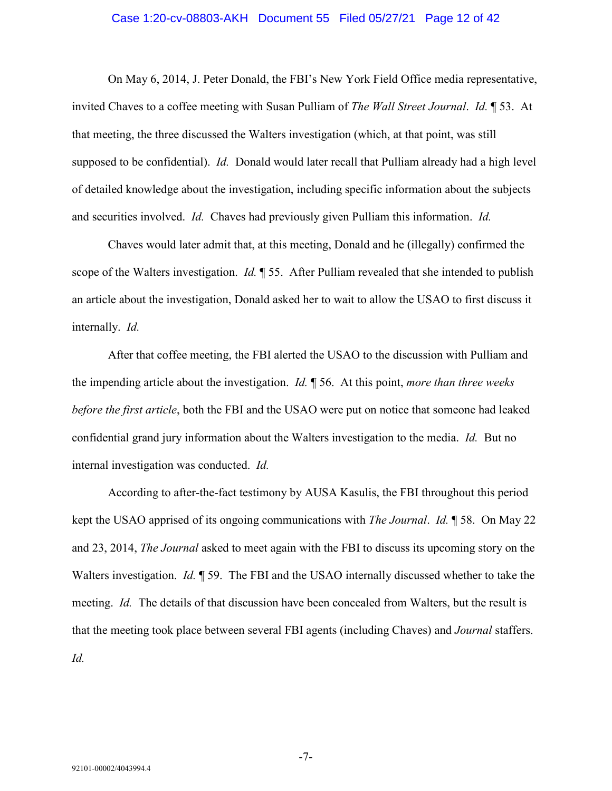#### Case 1:20-cv-08803-AKH Document 55 Filed 05/27/21 Page 12 of 42

On May 6, 2014, J. Peter Donald, the FBI's New York Field Office media representative, invited Chaves to a coffee meeting with Susan Pulliam of *The Wall Street Journal*. *Id.* ¶ 53. At that meeting, the three discussed the Walters investigation (which, at that point, was still supposed to be confidential). *Id.* Donald would later recall that Pulliam already had a high level of detailed knowledge about the investigation, including specific information about the subjects and securities involved. *Id.* Chaves had previously given Pulliam this information. *Id.*

Chaves would later admit that, at this meeting, Donald and he (illegally) confirmed the scope of the Walters investigation. *Id.* ¶ 55. After Pulliam revealed that she intended to publish an article about the investigation, Donald asked her to wait to allow the USAO to first discuss it internally. *Id.*

After that coffee meeting, the FBI alerted the USAO to the discussion with Pulliam and the impending article about the investigation. *Id.* ¶ 56. At this point, *more than three weeks before the first article*, both the FBI and the USAO were put on notice that someone had leaked confidential grand jury information about the Walters investigation to the media. *Id.* But no internal investigation was conducted. *Id.*

According to after-the-fact testimony by AUSA Kasulis, the FBI throughout this period kept the USAO apprised of its ongoing communications with *The Journal*. *Id.* ¶ 58. On May 22 and 23, 2014, *The Journal* asked to meet again with the FBI to discuss its upcoming story on the Walters investigation. *Id.* ¶ 59. The FBI and the USAO internally discussed whether to take the meeting. *Id.* The details of that discussion have been concealed from Walters, but the result is that the meeting took place between several FBI agents (including Chaves) and *Journal* staffers. *Id.*

-7-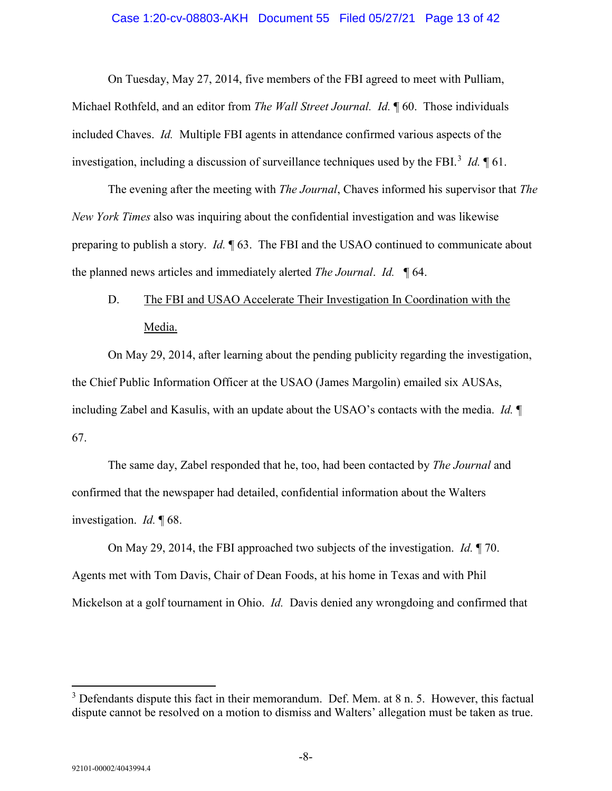#### Case 1:20-cv-08803-AKH Document 55 Filed 05/27/21 Page 13 of 42

On Tuesday, May 27, 2014, five members of the FBI agreed to meet with Pulliam,

Michael Rothfeld, and an editor from *The Wall Street Journal. Id.* ¶ 60. Those individuals included Chaves. *Id.* Multiple FBI agents in attendance confirmed various aspects of the investigation, including a discussion of surveillance techniques used by the FBI.<sup>[3](#page-12-1)</sup> *Id*. 161.

The evening after the meeting with *The Journal*, Chaves informed his supervisor that *The New York Times* also was inquiring about the confidential investigation and was likewise preparing to publish a story. *Id.* ¶ 63. The FBI and the USAO continued to communicate about the planned news articles and immediately alerted *The Journal*. *Id.* ¶ 64.

# <span id="page-12-0"></span>D. The FBI and USAO Accelerate Their Investigation In Coordination with the Media.

On May 29, 2014, after learning about the pending publicity regarding the investigation, the Chief Public Information Officer at the USAO (James Margolin) emailed six AUSAs, including Zabel and Kasulis, with an update about the USAO's contacts with the media. *Id.* ¶ 67.

The same day, Zabel responded that he, too, had been contacted by *The Journal* and confirmed that the newspaper had detailed, confidential information about the Walters investigation. *Id.* ¶ 68.

On May 29, 2014, the FBI approached two subjects of the investigation. *Id.* ¶ 70. Agents met with Tom Davis, Chair of Dean Foods, at his home in Texas and with Phil Mickelson at a golf tournament in Ohio. *Id.* Davis denied any wrongdoing and confirmed that

<span id="page-12-1"></span> $3$  Defendants dispute this fact in their memorandum. Def. Mem. at 8 n. 5. However, this factual dispute cannot be resolved on a motion to dismiss and Walters' allegation must be taken as true.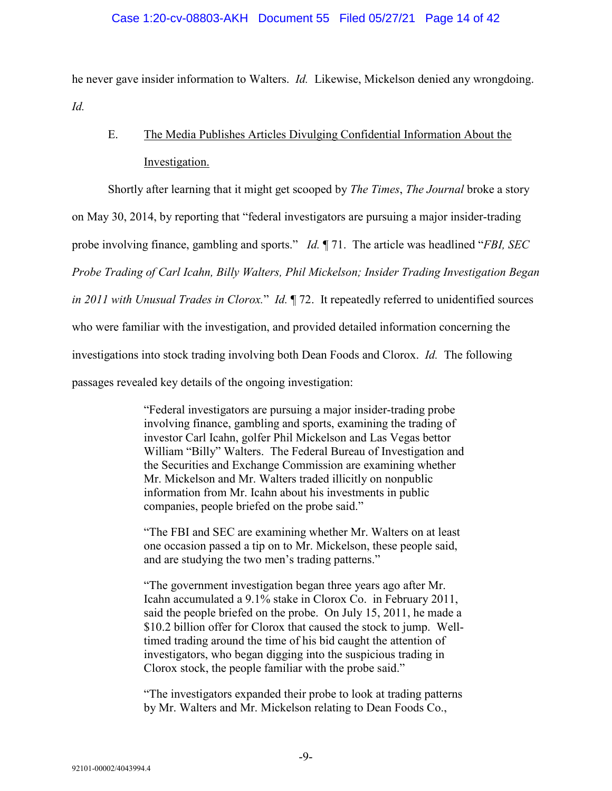he never gave insider information to Walters. *Id.* Likewise, Mickelson denied any wrongdoing. *Id.*

# <span id="page-13-0"></span>E. The Media Publishes Articles Divulging Confidential Information About the Investigation.

Shortly after learning that it might get scooped by *The Times*, *The Journal* broke a story

on May 30, 2014, by reporting that "federal investigators are pursuing a major insider-trading

probe involving finance, gambling and sports." *Id.* ¶ 71. The article was headlined "*FBI, SEC* 

*Probe Trading of Carl Icahn, Billy Walters, Phil Mickelson; Insider Trading Investigation Began* 

*in 2011 with Unusual Trades in Clorox.*" *Id.* ¶ 72. It repeatedly referred to unidentified sources

who were familiar with the investigation, and provided detailed information concerning the

investigations into stock trading involving both Dean Foods and Clorox. *Id.* The following

passages revealed key details of the ongoing investigation:

"Federal investigators are pursuing a major insider-trading probe involving finance, gambling and sports, examining the trading of investor Carl Icahn, golfer Phil Mickelson and Las Vegas bettor William "Billy" Walters. The Federal Bureau of Investigation and the Securities and Exchange Commission are examining whether Mr. Mickelson and Mr. Walters traded illicitly on nonpublic information from Mr. Icahn about his investments in public companies, people briefed on the probe said."

"The FBI and SEC are examining whether Mr. Walters on at least one occasion passed a tip on to Mr. Mickelson, these people said, and are studying the two men's trading patterns."

"The government investigation began three years ago after Mr. Icahn accumulated a 9.1% stake in Clorox Co. in February 2011, said the people briefed on the probe. On July 15, 2011, he made a \$10.2 billion offer for Clorox that caused the stock to jump. Welltimed trading around the time of his bid caught the attention of investigators, who began digging into the suspicious trading in Clorox stock, the people familiar with the probe said."

"The investigators expanded their probe to look at trading patterns by Mr. Walters and Mr. Mickelson relating to Dean Foods Co.,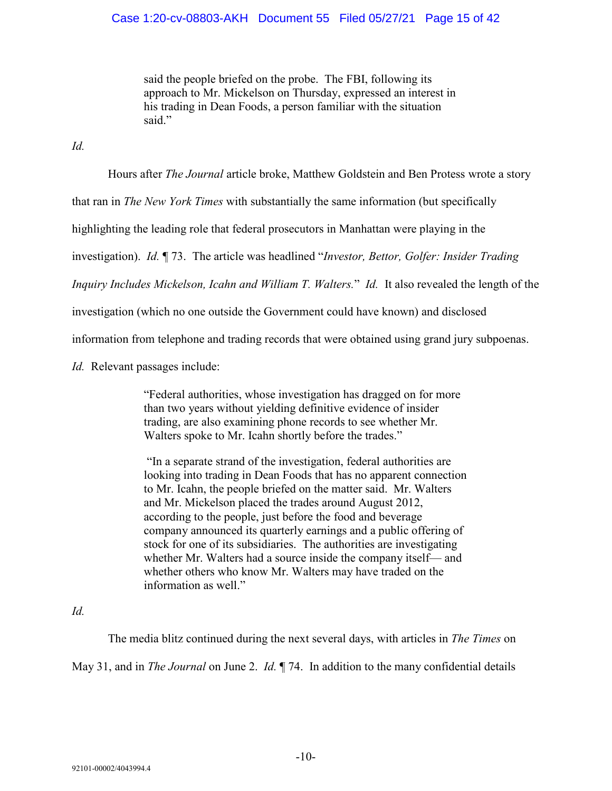### Case 1:20-cv-08803-AKH Document 55 Filed 05/27/21 Page 15 of 42

said the people briefed on the probe. The FBI, following its approach to Mr. Mickelson on Thursday, expressed an interest in his trading in Dean Foods, a person familiar with the situation said."

*Id.*

Hours after *The Journal* article broke, Matthew Goldstein and Ben Protess wrote a story

that ran in *The New York Times* with substantially the same information (but specifically

highlighting the leading role that federal prosecutors in Manhattan were playing in the

investigation). *Id.* ¶ 73. The article was headlined "*Investor, Bettor, Golfer: Insider Trading* 

*Inquiry Includes Mickelson, Icahn and William T. Walters.*" *Id.* It also revealed the length of the

investigation (which no one outside the Government could have known) and disclosed

information from telephone and trading records that were obtained using grand jury subpoenas.

*Id.* Relevant passages include:

"Federal authorities, whose investigation has dragged on for more than two years without yielding definitive evidence of insider trading, are also examining phone records to see whether Mr. Walters spoke to Mr. Icahn shortly before the trades."

"In a separate strand of the investigation, federal authorities are looking into trading in Dean Foods that has no apparent connection to Mr. Icahn, the people briefed on the matter said. Mr. Walters and Mr. Mickelson placed the trades around August 2012, according to the people, just before the food and beverage company announced its quarterly earnings and a public offering of stock for one of its subsidiaries. The authorities are investigating whether Mr. Walters had a source inside the company itself— and whether others who know Mr. Walters may have traded on the information as well."

*Id.*

The media blitz continued during the next several days, with articles in *The Times* on May 31, and in *The Journal* on June 2. *Id.* ¶ 74. In addition to the many confidential details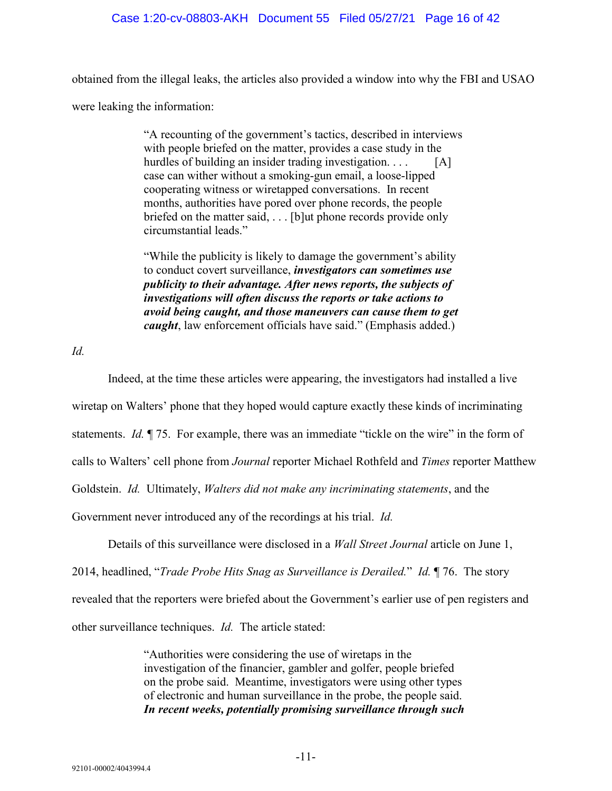#### Case 1:20-cv-08803-AKH Document 55 Filed 05/27/21 Page 16 of 42

obtained from the illegal leaks, the articles also provided a window into why the FBI and USAO

were leaking the information:

"A recounting of the government's tactics, described in interviews with people briefed on the matter, provides a case study in the hurdles of building an insider trading investigation. . . . [A] case can wither without a smoking-gun email, a loose-lipped cooperating witness or wiretapped conversations. In recent months, authorities have pored over phone records, the people briefed on the matter said, . . . [b]ut phone records provide only circumstantial leads."

"While the publicity is likely to damage the government's ability to conduct covert surveillance, *investigators can sometimes use publicity to their advantage. After news reports, the subjects of investigations will often discuss the reports or take actions to avoid being caught, and those maneuvers can cause them to get caught*, law enforcement officials have said." (Emphasis added.)

*Id.*

Indeed, at the time these articles were appearing, the investigators had installed a live wiretap on Walters' phone that they hoped would capture exactly these kinds of incriminating statements. *Id.* ¶ 75. For example, there was an immediate "tickle on the wire" in the form of calls to Walters' cell phone from *Journal* reporter Michael Rothfeld and *Times* reporter Matthew Goldstein. *Id.* Ultimately, *Walters did not make any incriminating statements*, and the Government never introduced any of the recordings at his trial. *Id.*

Details of this surveillance were disclosed in a *Wall Street Journal* article on June 1, 2014, headlined, "*Trade Probe Hits Snag as Surveillance is Derailed.*" *Id.* ¶ 76. The story revealed that the reporters were briefed about the Government's earlier use of pen registers and other surveillance techniques. *Id.* The article stated:

> "Authorities were considering the use of wiretaps in the investigation of the financier, gambler and golfer, people briefed on the probe said. Meantime, investigators were using other types of electronic and human surveillance in the probe, the people said. *In recent weeks, potentially promising surveillance through such*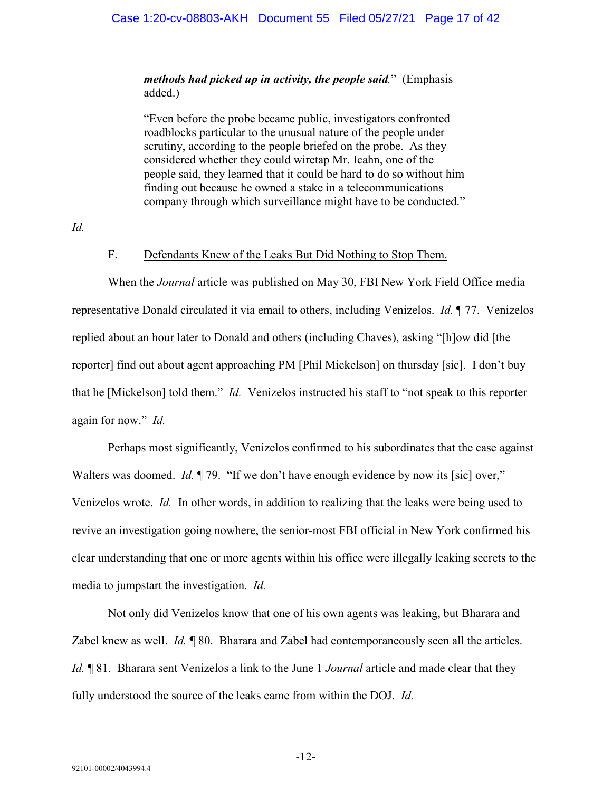#### Case 1:20-cv-08803-AKH Document 55 Filed 05/27/21 Page 17 of 42

### *methods had picked up in activity, the people said.*" (Emphasis added.)

"Even before the probe became public, investigators confronted roadblocks particular to the unusual nature of the people under scrutiny, according to the people briefed on the probe. As they considered whether they could wiretap Mr. Icahn, one of the people said, they learned that it could be hard to do so without him finding out because he owned a stake in a telecommunications company through which surveillance might have to be conducted."

<span id="page-16-0"></span>*Id.*

#### F. Defendants Knew of the Leaks But Did Nothing to Stop Them.

When the *Journal* article was published on May 30, FBI New York Field Office media representative Donald circulated it via email to others, including Venizelos. *Id.* ¶ 77. Venizelos replied about an hour later to Donald and others (including Chaves), asking "[h]ow did [the reporter] find out about agent approaching PM [Phil Mickelson] on thursday [sic]. I don't buy that he [Mickelson] told them." *Id.* Venizelos instructed his staff to "not speak to this reporter again for now." *Id.*

Perhaps most significantly, Venizelos confirmed to his subordinates that the case against Walters was doomed. *Id.*  $\parallel$  79. "If we don't have enough evidence by now its [sic] over," Venizelos wrote. *Id.* In other words, in addition to realizing that the leaks were being used to revive an investigation going nowhere, the senior-most FBI official in New York confirmed his clear understanding that one or more agents within his office were illegally leaking secrets to the media to jumpstart the investigation. *Id.*

Not only did Venizelos know that one of his own agents was leaking, but Bharara and Zabel knew as well. *Id.* ¶ 80. Bharara and Zabel had contemporaneously seen all the articles. *Id.* ¶ 81. Bharara sent Venizelos a link to the June 1 *Journal* article and made clear that they fully understood the source of the leaks came from within the DOJ. *Id.*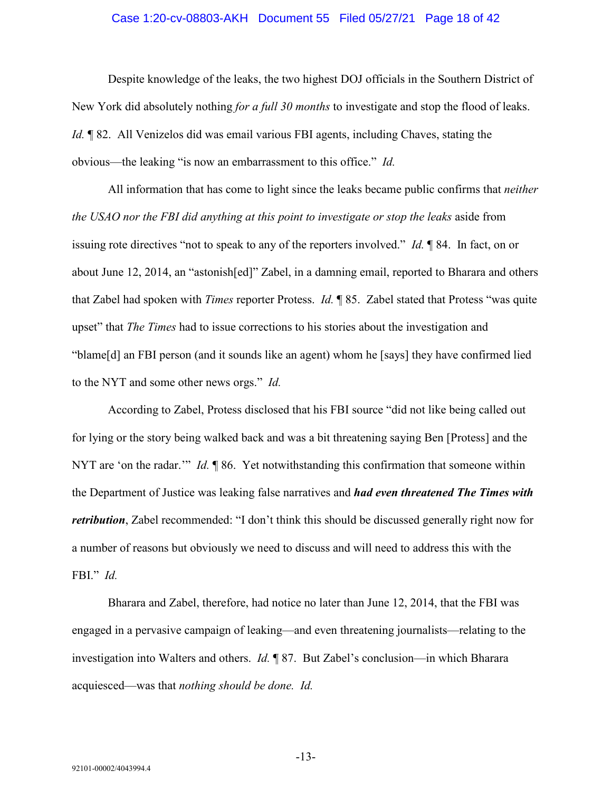#### Case 1:20-cv-08803-AKH Document 55 Filed 05/27/21 Page 18 of 42

Despite knowledge of the leaks, the two highest DOJ officials in the Southern District of New York did absolutely nothing *for a full 30 months* to investigate and stop the flood of leaks. *Id.* ¶ 82. All Venizelos did was email various FBI agents, including Chaves, stating the obvious—the leaking "is now an embarrassment to this office." *Id.*

All information that has come to light since the leaks became public confirms that *neither the USAO nor the FBI did anything at this point to investigate or stop the leaks* aside from issuing rote directives "not to speak to any of the reporters involved." *Id.* ¶ 84. In fact, on or about June 12, 2014, an "astonish[ed]" Zabel, in a damning email, reported to Bharara and others that Zabel had spoken with *Times* reporter Protess. *Id.* ¶ 85. Zabel stated that Protess "was quite upset" that *The Times* had to issue corrections to his stories about the investigation and "blame[d] an FBI person (and it sounds like an agent) whom he [says] they have confirmed lied to the NYT and some other news orgs." *Id.*

According to Zabel, Protess disclosed that his FBI source "did not like being called out for lying or the story being walked back and was a bit threatening saying Ben [Protess] and the NYT are 'on the radar.'" *Id.* ¶ 86. Yet notwithstanding this confirmation that someone within the Department of Justice was leaking false narratives and *had even threatened The Times with retribution*, Zabel recommended: "I don't think this should be discussed generally right now for a number of reasons but obviously we need to discuss and will need to address this with the FBI." *Id.*

Bharara and Zabel, therefore, had notice no later than June 12, 2014, that the FBI was engaged in a pervasive campaign of leaking—and even threatening journalists—relating to the investigation into Walters and others. *Id.* ¶ 87. But Zabel's conclusion—in which Bharara acquiesced—was that *nothing should be done. Id.*

-13-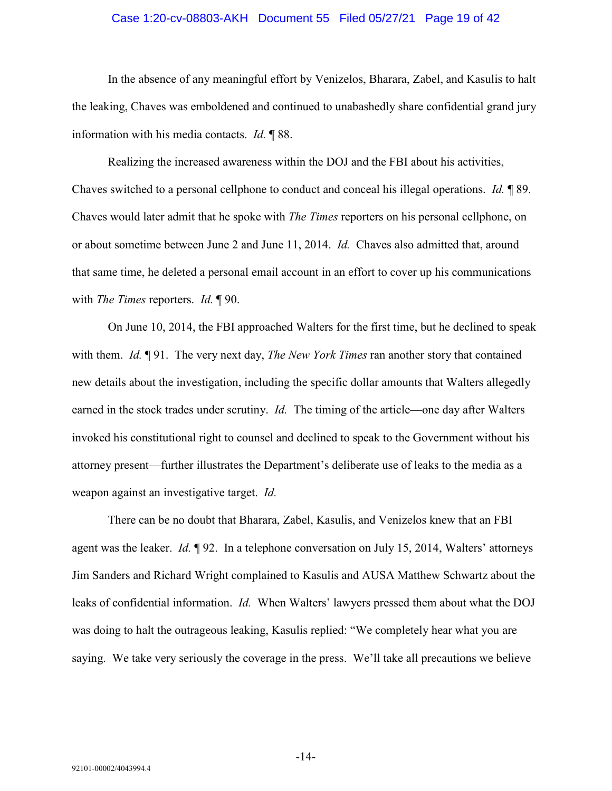#### Case 1:20-cv-08803-AKH Document 55 Filed 05/27/21 Page 19 of 42

In the absence of any meaningful effort by Venizelos, Bharara, Zabel, and Kasulis to halt the leaking, Chaves was emboldened and continued to unabashedly share confidential grand jury information with his media contacts. *Id.* ¶ 88.

Realizing the increased awareness within the DOJ and the FBI about his activities, Chaves switched to a personal cellphone to conduct and conceal his illegal operations. *Id.* ¶ 89. Chaves would later admit that he spoke with *The Times* reporters on his personal cellphone, on or about sometime between June 2 and June 11, 2014. *Id.* Chaves also admitted that, around that same time, he deleted a personal email account in an effort to cover up his communications with *The Times* reporters. *Id.* ¶ 90.

On June 10, 2014, the FBI approached Walters for the first time, but he declined to speak with them. *Id.* ¶ 91. The very next day, *The New York Times* ran another story that contained new details about the investigation, including the specific dollar amounts that Walters allegedly earned in the stock trades under scrutiny. *Id.* The timing of the article—one day after Walters invoked his constitutional right to counsel and declined to speak to the Government without his attorney present—further illustrates the Department's deliberate use of leaks to the media as a weapon against an investigative target. *Id.*

There can be no doubt that Bharara, Zabel, Kasulis, and Venizelos knew that an FBI agent was the leaker. *Id.* ¶ 92. In a telephone conversation on July 15, 2014, Walters' attorneys Jim Sanders and Richard Wright complained to Kasulis and AUSA Matthew Schwartz about the leaks of confidential information. *Id.* When Walters' lawyers pressed them about what the DOJ was doing to halt the outrageous leaking, Kasulis replied: "We completely hear what you are saying. We take very seriously the coverage in the press. We'll take all precautions we believe

-14-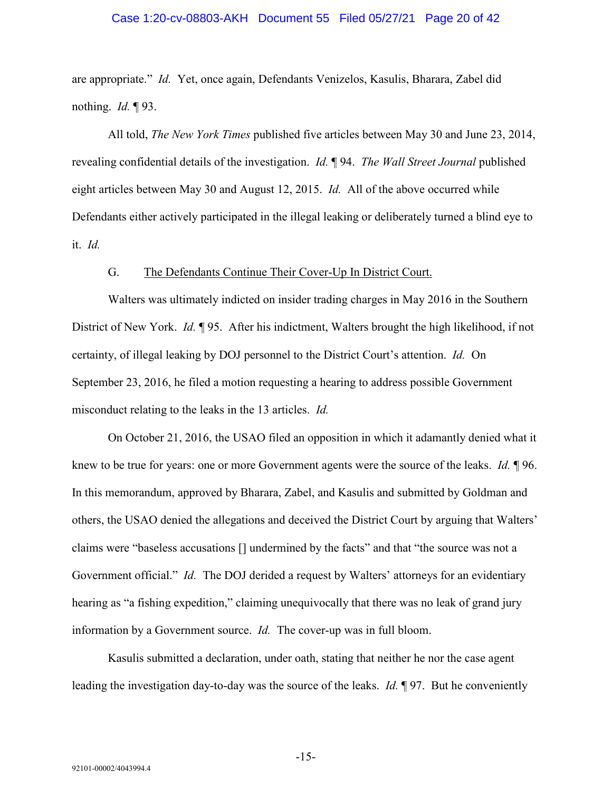#### Case 1:20-cv-08803-AKH Document 55 Filed 05/27/21 Page 20 of 42

are appropriate." *Id.* Yet, once again, Defendants Venizelos, Kasulis, Bharara, Zabel did nothing. *Id.* ¶ 93.

All told, *The New York Times* published five articles between May 30 and June 23, 2014, revealing confidential details of the investigation. *Id.* ¶ 94. *The Wall Street Journal* published eight articles between May 30 and August 12, 2015. *Id.* All of the above occurred while Defendants either actively participated in the illegal leaking or deliberately turned a blind eye to it. *Id.*

#### G. The Defendants Continue Their Cover-Up In District Court.

<span id="page-19-0"></span>Walters was ultimately indicted on insider trading charges in May 2016 in the Southern District of New York. *Id.* ¶ 95. After his indictment, Walters brought the high likelihood, if not certainty, of illegal leaking by DOJ personnel to the District Court's attention. *Id.* On September 23, 2016, he filed a motion requesting a hearing to address possible Government misconduct relating to the leaks in the 13 articles. *Id.*

On October 21, 2016, the USAO filed an opposition in which it adamantly denied what it knew to be true for years: one or more Government agents were the source of the leaks. *Id.* ¶ 96. In this memorandum, approved by Bharara, Zabel, and Kasulis and submitted by Goldman and others, the USAO denied the allegations and deceived the District Court by arguing that Walters' claims were "baseless accusations [] undermined by the facts" and that "the source was not a Government official." *Id.* The DOJ derided a request by Walters' attorneys for an evidentiary hearing as "a fishing expedition," claiming unequivocally that there was no leak of grand jury information by a Government source. *Id.* The cover-up was in full bloom.

Kasulis submitted a declaration, under oath, stating that neither he nor the case agent leading the investigation day-to-day was the source of the leaks. *Id.* ¶ 97. But he conveniently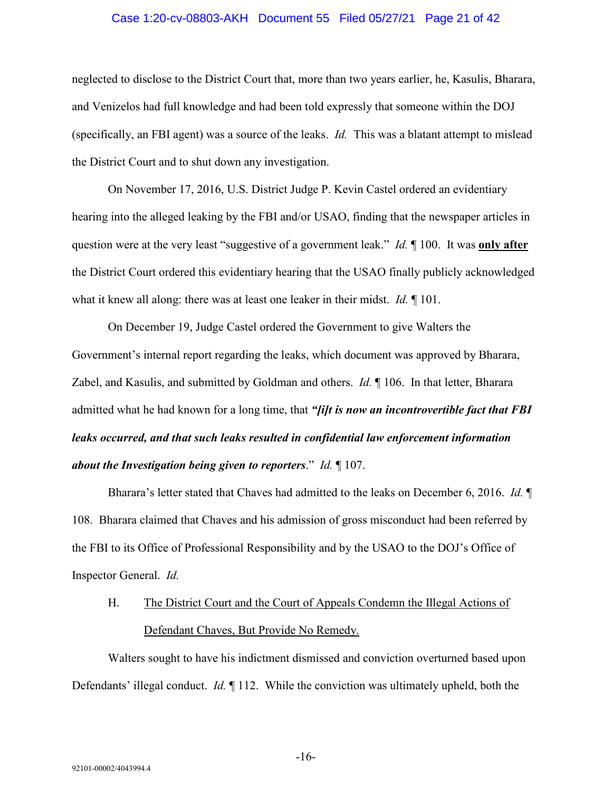#### Case 1:20-cv-08803-AKH Document 55 Filed 05/27/21 Page 21 of 42

neglected to disclose to the District Court that, more than two years earlier, he, Kasulis, Bharara, and Venizelos had full knowledge and had been told expressly that someone within the DOJ (specifically, an FBI agent) was a source of the leaks. *Id.* This was a blatant attempt to mislead the District Court and to shut down any investigation.

On November 17, 2016, U.S. District Judge P. Kevin Castel ordered an evidentiary hearing into the alleged leaking by the FBI and/or USAO, finding that the newspaper articles in question were at the very least "suggestive of a government leak." *Id.* ¶ 100. It was **only after** the District Court ordered this evidentiary hearing that the USAO finally publicly acknowledged what it knew all along: there was at least one leaker in their midst. *Id.* ¶ 101.

On December 19, Judge Castel ordered the Government to give Walters the Government's internal report regarding the leaks, which document was approved by Bharara, Zabel, and Kasulis, and submitted by Goldman and others. *Id.* ¶ 106. In that letter, Bharara admitted what he had known for a long time, that *"[i]t is now an incontrovertible fact that FBI leaks occurred, and that such leaks resulted in confidential law enforcement information about the Investigation being given to reporters*." *Id.* ¶ 107.

Bharara's letter stated that Chaves had admitted to the leaks on December 6, 2016. *Id.* ¶ 108. Bharara claimed that Chaves and his admission of gross misconduct had been referred by the FBI to its Office of Professional Responsibility and by the USAO to the DOJ's Office of Inspector General. *Id.*

# <span id="page-20-0"></span>H. The District Court and the Court of Appeals Condemn the Illegal Actions of Defendant Chaves, But Provide No Remedy.

Walters sought to have his indictment dismissed and conviction overturned based upon Defendants' illegal conduct. *Id.* ¶ 112. While the conviction was ultimately upheld, both the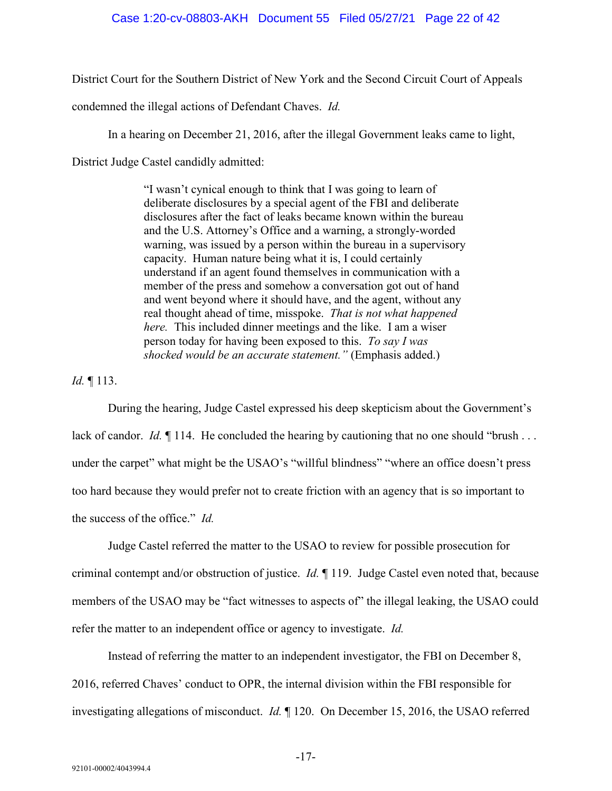District Court for the Southern District of New York and the Second Circuit Court of Appeals

condemned the illegal actions of Defendant Chaves. *Id.*

In a hearing on December 21, 2016, after the illegal Government leaks came to light,

District Judge Castel candidly admitted:

"I wasn't cynical enough to think that I was going to learn of deliberate disclosures by a special agent of the FBI and deliberate disclosures after the fact of leaks became known within the bureau and the U.S. Attorney's Office and a warning, a strongly-worded warning, was issued by a person within the bureau in a supervisory capacity. Human nature being what it is, I could certainly understand if an agent found themselves in communication with a member of the press and somehow a conversation got out of hand and went beyond where it should have, and the agent, without any real thought ahead of time, misspoke. *That is not what happened here.* This included dinner meetings and the like. I am a wiser person today for having been exposed to this. *To say I was shocked would be an accurate statement."* (Emphasis added.)

*Id.* ¶ 113.

During the hearing, Judge Castel expressed his deep skepticism about the Government's lack of candor. *Id.*  $\llbracket$  114. He concluded the hearing by cautioning that no one should "brush ... under the carpet" what might be the USAO's "willful blindness" "where an office doesn't press too hard because they would prefer not to create friction with an agency that is so important to the success of the office." *Id.*

Judge Castel referred the matter to the USAO to review for possible prosecution for criminal contempt and/or obstruction of justice. *Id.* ¶ 119. Judge Castel even noted that, because members of the USAO may be "fact witnesses to aspects of" the illegal leaking, the USAO could refer the matter to an independent office or agency to investigate. *Id.*

Instead of referring the matter to an independent investigator, the FBI on December 8, 2016, referred Chaves' conduct to OPR, the internal division within the FBI responsible for investigating allegations of misconduct. *Id.* ¶ 120. On December 15, 2016, the USAO referred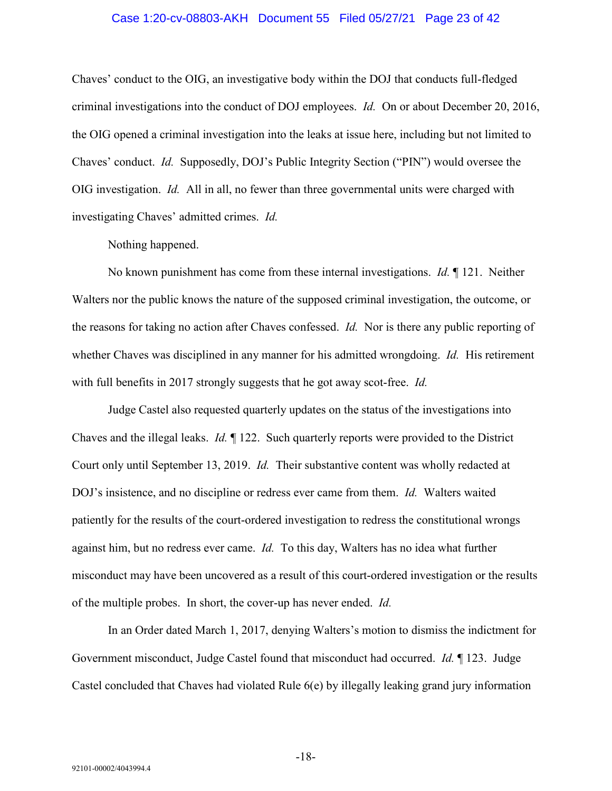#### Case 1:20-cv-08803-AKH Document 55 Filed 05/27/21 Page 23 of 42

Chaves' conduct to the OIG, an investigative body within the DOJ that conducts full-fledged criminal investigations into the conduct of DOJ employees. *Id.* On or about December 20, 2016, the OIG opened a criminal investigation into the leaks at issue here, including but not limited to Chaves' conduct. *Id.* Supposedly, DOJ's Public Integrity Section ("PIN") would oversee the OIG investigation. *Id.* All in all, no fewer than three governmental units were charged with investigating Chaves' admitted crimes. *Id.*

Nothing happened.

No known punishment has come from these internal investigations. *Id.* ¶ 121. Neither Walters nor the public knows the nature of the supposed criminal investigation, the outcome, or the reasons for taking no action after Chaves confessed. *Id.* Nor is there any public reporting of whether Chaves was disciplined in any manner for his admitted wrongdoing. *Id.* His retirement with full benefits in 2017 strongly suggests that he got away scot-free. *Id.*

Judge Castel also requested quarterly updates on the status of the investigations into Chaves and the illegal leaks. *Id.* ¶ 122. Such quarterly reports were provided to the District Court only until September 13, 2019. *Id.* Their substantive content was wholly redacted at DOJ's insistence, and no discipline or redress ever came from them. *Id.* Walters waited patiently for the results of the court-ordered investigation to redress the constitutional wrongs against him, but no redress ever came. *Id.* To this day, Walters has no idea what further misconduct may have been uncovered as a result of this court-ordered investigation or the results of the multiple probes. In short, the cover-up has never ended. *Id.*

In an Order dated March 1, 2017, denying Walters's motion to dismiss the indictment for Government misconduct, Judge Castel found that misconduct had occurred. *Id.* ¶ 123. Judge Castel concluded that Chaves had violated Rule 6(e) by illegally leaking grand jury information

-18-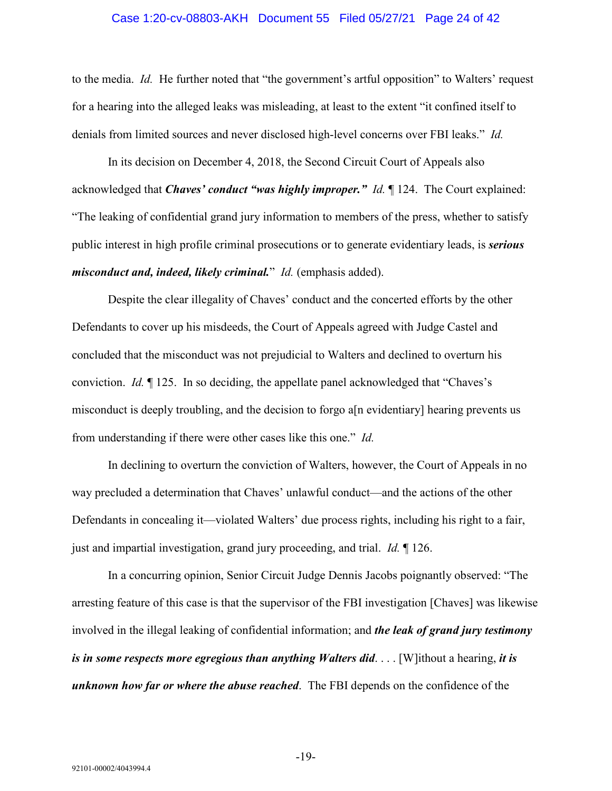#### Case 1:20-cv-08803-AKH Document 55 Filed 05/27/21 Page 24 of 42

to the media. *Id.* He further noted that "the government's artful opposition" to Walters' request for a hearing into the alleged leaks was misleading, at least to the extent "it confined itself to denials from limited sources and never disclosed high-level concerns over FBI leaks." *Id.*

In its decision on December 4, 2018, the Second Circuit Court of Appeals also acknowledged that *Chaves' conduct "was highly improper." Id.* ¶ 124. The Court explained: "The leaking of confidential grand jury information to members of the press, whether to satisfy public interest in high profile criminal prosecutions or to generate evidentiary leads, is *serious misconduct and, indeed, likely criminal.*" *Id.* (emphasis added).

Despite the clear illegality of Chaves' conduct and the concerted efforts by the other Defendants to cover up his misdeeds, the Court of Appeals agreed with Judge Castel and concluded that the misconduct was not prejudicial to Walters and declined to overturn his conviction. *Id.* ¶ 125. In so deciding, the appellate panel acknowledged that "Chaves's misconduct is deeply troubling, and the decision to forgo a[n evidentiary] hearing prevents us from understanding if there were other cases like this one." *Id.*

In declining to overturn the conviction of Walters, however, the Court of Appeals in no way precluded a determination that Chaves' unlawful conduct—and the actions of the other Defendants in concealing it—violated Walters' due process rights, including his right to a fair, just and impartial investigation, grand jury proceeding, and trial. *Id.* ¶ 126.

In a concurring opinion, Senior Circuit Judge Dennis Jacobs poignantly observed: "The arresting feature of this case is that the supervisor of the FBI investigation [Chaves] was likewise involved in the illegal leaking of confidential information; and *the leak of grand jury testimony is in some respects more egregious than anything Walters did*. . . . [W]ithout a hearing, *it is unknown how far or where the abuse reached*. The FBI depends on the confidence of the

-19-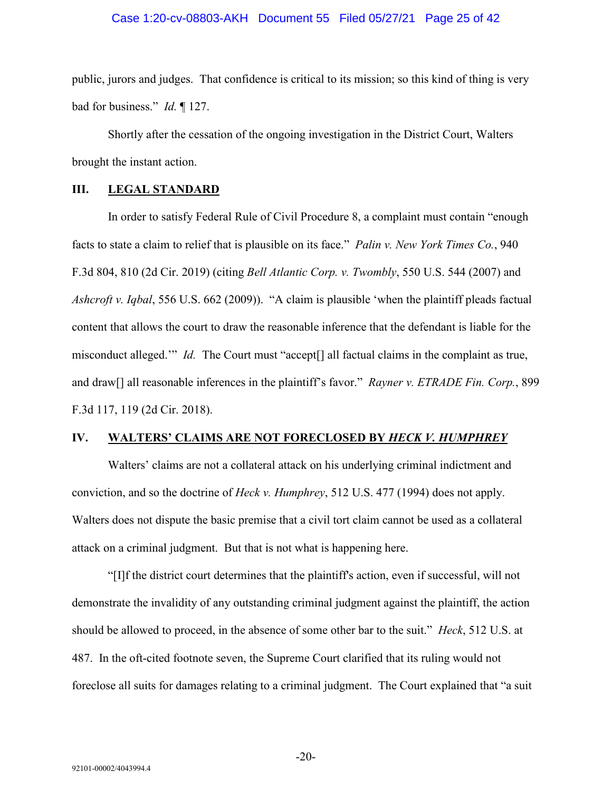#### Case 1:20-cv-08803-AKH Document 55 Filed 05/27/21 Page 25 of 42

public, jurors and judges. That confidence is critical to its mission; so this kind of thing is very bad for business." *Id.* ¶ 127.

Shortly after the cessation of the ongoing investigation in the District Court, Walters brought the instant action.

#### <span id="page-24-0"></span>**III. LEGAL STANDARD**

In order to satisfy Federal Rule of Civil Procedure 8, a complaint must contain "enough facts to state a claim to relief that is plausible on its face." *Palin v. New York Times Co.*, 940 F.3d 804, 810 (2d Cir. 2019) (citing *Bell Atlantic Corp. v. Twombly*, 550 U.S. 544 (2007) and *Ashcroft v. Iqbal*, 556 U.S. 662 (2009)). "A claim is plausible 'when the plaintiff pleads factual content that allows the court to draw the reasonable inference that the defendant is liable for the misconduct alleged.'" *Id.* The Court must "accept[] all factual claims in the complaint as true, and draw[] all reasonable inferences in the plaintiff's favor." *Rayner v. ETRADE Fin. Corp.*, 899 F.3d 117, 119 (2d Cir. 2018).

#### <span id="page-24-1"></span>**IV. WALTERS' CLAIMS ARE NOT FORECLOSED BY** *HECK V. HUMPHREY*

Walters' claims are not a collateral attack on his underlying criminal indictment and conviction, and so the doctrine of *Heck v. Humphrey*, 512 U.S. 477 (1994) does not apply. Walters does not dispute the basic premise that a civil tort claim cannot be used as a collateral attack on a criminal judgment. But that is not what is happening here.

"[I]f the district court determines that the plaintiff's action, even if successful, will not demonstrate the invalidity of any outstanding criminal judgment against the plaintiff, the action should be allowed to proceed, in the absence of some other bar to the suit." *Heck*, 512 U.S. at 487. In the oft-cited footnote seven, the Supreme Court clarified that its ruling would not foreclose all suits for damages relating to a criminal judgment. The Court explained that "a suit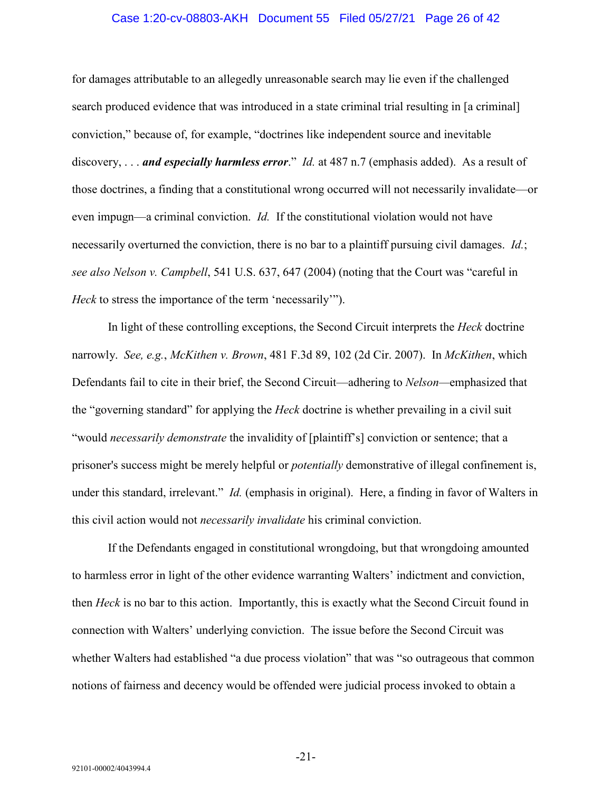#### Case 1:20-cv-08803-AKH Document 55 Filed 05/27/21 Page 26 of 42

for damages attributable to an allegedly unreasonable search may lie even if the challenged search produced evidence that was introduced in a state criminal trial resulting in [a criminal] conviction," because of, for example, "doctrines like independent source and inevitable discovery, . . . *and especially harmless error*." *Id.* at 487 n.7 (emphasis added). As a result of those doctrines, a finding that a constitutional wrong occurred will not necessarily invalidate—or even impugn—a criminal conviction. *Id.* If the constitutional violation would not have necessarily overturned the conviction, there is no bar to a plaintiff pursuing civil damages. *Id.*; *see also Nelson v. Campbell*, 541 U.S. 637, 647 (2004) (noting that the Court was "careful in *Heck* to stress the importance of the term 'necessarily'").

In light of these controlling exceptions, the Second Circuit interprets the *Heck* doctrine narrowly. *See, e.g.*, *McKithen v. Brown*, 481 F.3d 89, 102 (2d Cir. 2007). In *McKithen*, which Defendants fail to cite in their brief, the Second Circuit—adhering to *Nelson—*emphasized that the "governing standard" for applying the *Heck* doctrine is whether prevailing in a civil suit "would *necessarily demonstrate* the invalidity of [plaintiff's] conviction or sentence; that a prisoner's success might be merely helpful or *potentially* demonstrative of illegal confinement is, under this standard, irrelevant." *Id.* (emphasis in original). Here, a finding in favor of Walters in this civil action would not *necessarily invalidate* his criminal conviction.

If the Defendants engaged in constitutional wrongdoing, but that wrongdoing amounted to harmless error in light of the other evidence warranting Walters' indictment and conviction, then *Heck* is no bar to this action. Importantly, this is exactly what the Second Circuit found in connection with Walters' underlying conviction. The issue before the Second Circuit was whether Walters had established "a due process violation" that was "so outrageous that common notions of fairness and decency would be offended were judicial process invoked to obtain a

-21-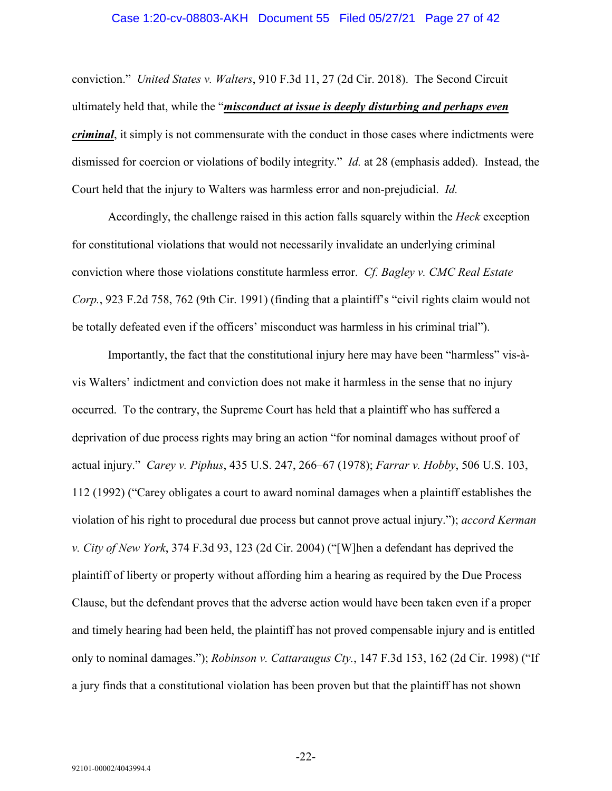#### Case 1:20-cv-08803-AKH Document 55 Filed 05/27/21 Page 27 of 42

conviction." *United States v. Walters*, 910 F.3d 11, 27 (2d Cir. 2018). The Second Circuit ultimately held that, while the "*misconduct at issue is deeply disturbing and perhaps even criminal*, it simply is not commensurate with the conduct in those cases where indictments were dismissed for coercion or violations of bodily integrity." *Id.* at 28 (emphasis added). Instead, the Court held that the injury to Walters was harmless error and non-prejudicial. *Id.*

Accordingly, the challenge raised in this action falls squarely within the *Heck* exception for constitutional violations that would not necessarily invalidate an underlying criminal conviction where those violations constitute harmless error. *Cf. Bagley v. CMC Real Estate Corp.*, 923 F.2d 758, 762 (9th Cir. 1991) (finding that a plaintiff's "civil rights claim would not be totally defeated even if the officers' misconduct was harmless in his criminal trial").

Importantly, the fact that the constitutional injury here may have been "harmless" vis-àvis Walters' indictment and conviction does not make it harmless in the sense that no injury occurred. To the contrary, the Supreme Court has held that a plaintiff who has suffered a deprivation of due process rights may bring an action "for nominal damages without proof of actual injury." *Carey v. Piphus*, 435 U.S. 247, 266–67 (1978); *Farrar v. Hobby*, 506 U.S. 103, 112 (1992) ("Carey obligates a court to award nominal damages when a plaintiff establishes the violation of his right to procedural due process but cannot prove actual injury."); *accord Kerman v. City of New York*, 374 F.3d 93, 123 (2d Cir. 2004) ("[W]hen a defendant has deprived the plaintiff of liberty or property without affording him a hearing as required by the Due Process Clause, but the defendant proves that the adverse action would have been taken even if a proper and timely hearing had been held, the plaintiff has not proved compensable injury and is entitled only to nominal damages."); *Robinson v. Cattaraugus Cty.*, 147 F.3d 153, 162 (2d Cir. 1998) ("If a jury finds that a constitutional violation has been proven but that the plaintiff has not shown

-22-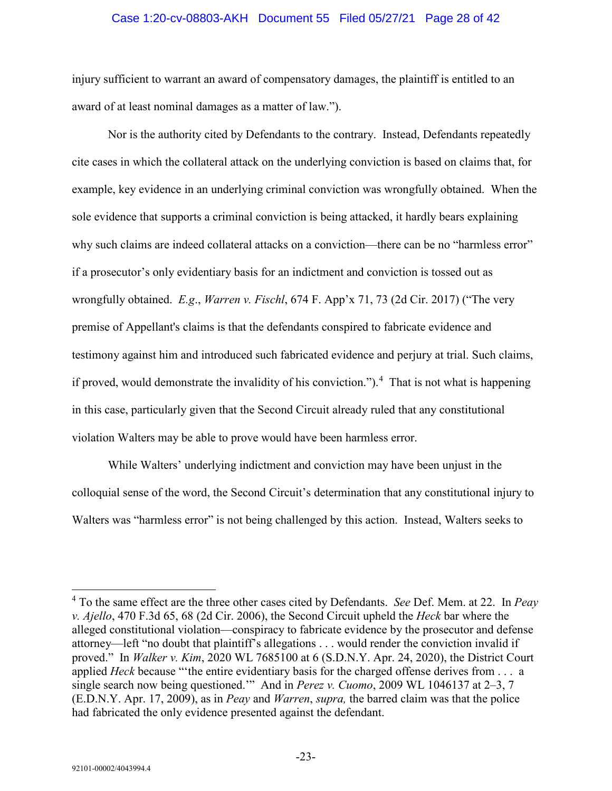#### Case 1:20-cv-08803-AKH Document 55 Filed 05/27/21 Page 28 of 42

injury sufficient to warrant an award of compensatory damages, the plaintiff is entitled to an award of at least nominal damages as a matter of law.").

Nor is the authority cited by Defendants to the contrary. Instead, Defendants repeatedly cite cases in which the collateral attack on the underlying conviction is based on claims that, for example, key evidence in an underlying criminal conviction was wrongfully obtained. When the sole evidence that supports a criminal conviction is being attacked, it hardly bears explaining why such claims are indeed collateral attacks on a conviction—there can be no "harmless error" if a prosecutor's only evidentiary basis for an indictment and conviction is tossed out as wrongfully obtained. *E.g*., *Warren v. Fischl*, 674 F. App'x 71, 73 (2d Cir. 2017) ("The very premise of Appellant's claims is that the defendants conspired to fabricate evidence and testimony against him and introduced such fabricated evidence and perjury at trial. Such claims, if proved, would demonstrate the invalidity of his conviction.").<sup>[4](#page-27-0)</sup> That is not what is happening in this case, particularly given that the Second Circuit already ruled that any constitutional violation Walters may be able to prove would have been harmless error.

While Walters' underlying indictment and conviction may have been unjust in the colloquial sense of the word, the Second Circuit's determination that any constitutional injury to Walters was "harmless error" is not being challenged by this action. Instead, Walters seeks to

<span id="page-27-0"></span> <sup>4</sup> To the same effect are the three other cases cited by Defendants. *See* Def. Mem. at 22. In *Peay v. Ajello*, 470 F.3d 65, 68 (2d Cir. 2006), the Second Circuit upheld the *Heck* bar where the alleged constitutional violation—conspiracy to fabricate evidence by the prosecutor and defense attorney—left "no doubt that plaintiff's allegations . . . would render the conviction invalid if proved." In *Walker v. Kim*, 2020 WL 7685100 at 6 (S.D.N.Y. Apr. 24, 2020), the District Court applied *Heck* because "'the entire evidentiary basis for the charged offense derives from . . . a single search now being questioned.'" And in *Perez v. Cuomo*, 2009 WL 1046137 at 2–3, 7 (E.D.N.Y. Apr. 17, 2009), as in *Peay* and *Warren*, *supra,* the barred claim was that the police had fabricated the only evidence presented against the defendant.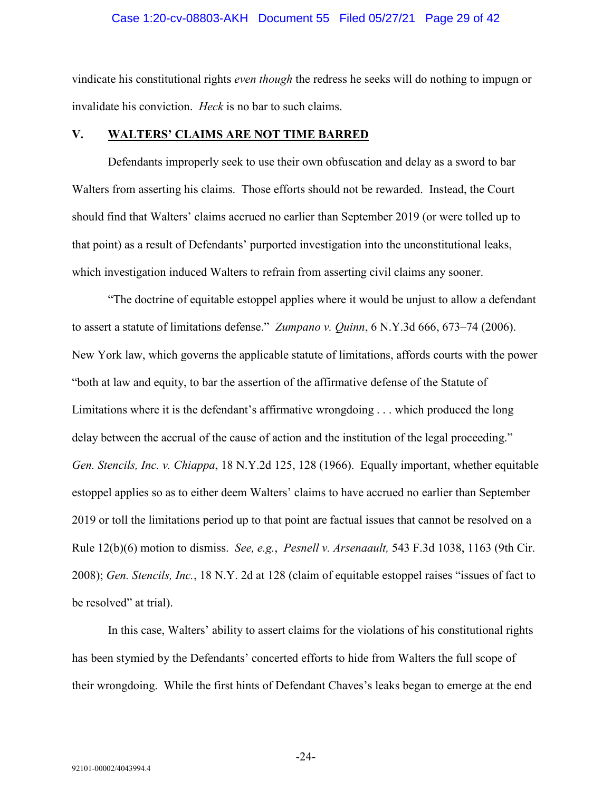#### Case 1:20-cv-08803-AKH Document 55 Filed 05/27/21 Page 29 of 42

vindicate his constitutional rights *even though* the redress he seeks will do nothing to impugn or invalidate his conviction. *Heck* is no bar to such claims.

#### <span id="page-28-0"></span>**V. WALTERS' CLAIMS ARE NOT TIME BARRED**

Defendants improperly seek to use their own obfuscation and delay as a sword to bar Walters from asserting his claims. Those efforts should not be rewarded. Instead, the Court should find that Walters' claims accrued no earlier than September 2019 (or were tolled up to that point) as a result of Defendants' purported investigation into the unconstitutional leaks, which investigation induced Walters to refrain from asserting civil claims any sooner.

"The doctrine of equitable estoppel applies where it would be unjust to allow a defendant to assert a statute of limitations defense." *Zumpano v. Quinn*, 6 N.Y.3d 666, 673–74 (2006). New York law, which governs the applicable statute of limitations, affords courts with the power "both at law and equity, to bar the assertion of the affirmative defense of the Statute of Limitations where it is the defendant's affirmative wrongdoing . . . which produced the long delay between the accrual of the cause of action and the institution of the legal proceeding." *Gen. Stencils, Inc. v. Chiappa*, 18 N.Y.2d 125, 128 (1966). Equally important, whether equitable estoppel applies so as to either deem Walters' claims to have accrued no earlier than September 2019 or toll the limitations period up to that point are factual issues that cannot be resolved on a Rule 12(b)(6) motion to dismiss. *See, e.g.*, *Pesnell v. Arsenaault,* 543 F.3d 1038, 1163 (9th Cir. 2008); *Gen. Stencils, Inc.*, 18 N.Y. 2d at 128 (claim of equitable estoppel raises "issues of fact to be resolved" at trial).

In this case, Walters' ability to assert claims for the violations of his constitutional rights has been stymied by the Defendants' concerted efforts to hide from Walters the full scope of their wrongdoing. While the first hints of Defendant Chaves's leaks began to emerge at the end

-24-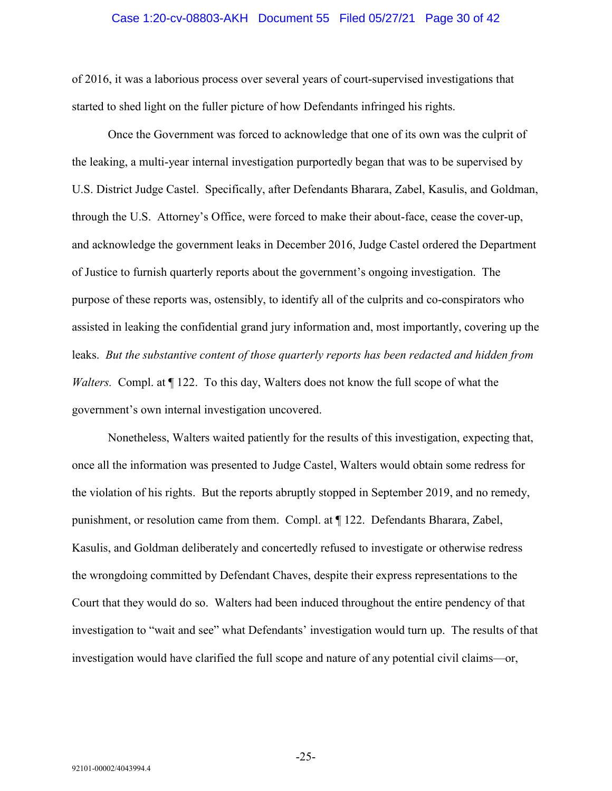#### Case 1:20-cv-08803-AKH Document 55 Filed 05/27/21 Page 30 of 42

of 2016, it was a laborious process over several years of court-supervised investigations that started to shed light on the fuller picture of how Defendants infringed his rights.

Once the Government was forced to acknowledge that one of its own was the culprit of the leaking, a multi-year internal investigation purportedly began that was to be supervised by U.S. District Judge Castel. Specifically, after Defendants Bharara, Zabel, Kasulis, and Goldman, through the U.S. Attorney's Office, were forced to make their about-face, cease the cover-up, and acknowledge the government leaks in December 2016, Judge Castel ordered the Department of Justice to furnish quarterly reports about the government's ongoing investigation. The purpose of these reports was, ostensibly, to identify all of the culprits and co-conspirators who assisted in leaking the confidential grand jury information and, most importantly, covering up the leaks. *But the substantive content of those quarterly reports has been redacted and hidden from Walters.* Compl. at  $\P$  122. To this day, Walters does not know the full scope of what the government's own internal investigation uncovered.

Nonetheless, Walters waited patiently for the results of this investigation, expecting that, once all the information was presented to Judge Castel, Walters would obtain some redress for the violation of his rights. But the reports abruptly stopped in September 2019, and no remedy, punishment, or resolution came from them. Compl. at ¶ 122. Defendants Bharara, Zabel, Kasulis, and Goldman deliberately and concertedly refused to investigate or otherwise redress the wrongdoing committed by Defendant Chaves, despite their express representations to the Court that they would do so. Walters had been induced throughout the entire pendency of that investigation to "wait and see" what Defendants' investigation would turn up. The results of that investigation would have clarified the full scope and nature of any potential civil claims—or,

-25-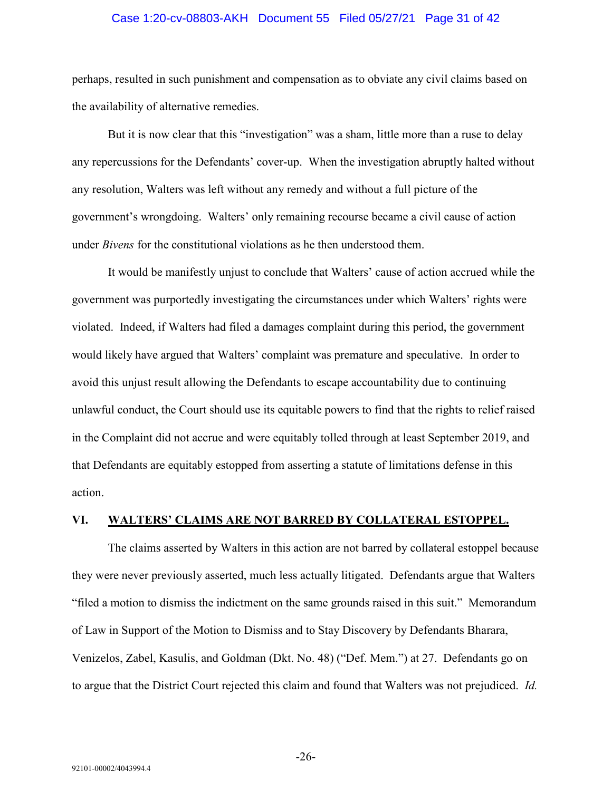#### Case 1:20-cv-08803-AKH Document 55 Filed 05/27/21 Page 31 of 42

perhaps, resulted in such punishment and compensation as to obviate any civil claims based on the availability of alternative remedies.

But it is now clear that this "investigation" was a sham, little more than a ruse to delay any repercussions for the Defendants' cover-up. When the investigation abruptly halted without any resolution, Walters was left without any remedy and without a full picture of the government's wrongdoing. Walters' only remaining recourse became a civil cause of action under *Bivens* for the constitutional violations as he then understood them.

It would be manifestly unjust to conclude that Walters' cause of action accrued while the government was purportedly investigating the circumstances under which Walters' rights were violated. Indeed, if Walters had filed a damages complaint during this period, the government would likely have argued that Walters' complaint was premature and speculative. In order to avoid this unjust result allowing the Defendants to escape accountability due to continuing unlawful conduct, the Court should use its equitable powers to find that the rights to relief raised in the Complaint did not accrue and were equitably tolled through at least September 2019, and that Defendants are equitably estopped from asserting a statute of limitations defense in this action.

#### <span id="page-30-0"></span>**VI. WALTERS' CLAIMS ARE NOT BARRED BY COLLATERAL ESTOPPEL.**

The claims asserted by Walters in this action are not barred by collateral estoppel because they were never previously asserted, much less actually litigated. Defendants argue that Walters "filed a motion to dismiss the indictment on the same grounds raised in this suit." Memorandum of Law in Support of the Motion to Dismiss and to Stay Discovery by Defendants Bharara, Venizelos, Zabel, Kasulis, and Goldman (Dkt. No. 48) ("Def. Mem.") at 27. Defendants go on to argue that the District Court rejected this claim and found that Walters was not prejudiced. *Id.*

-26-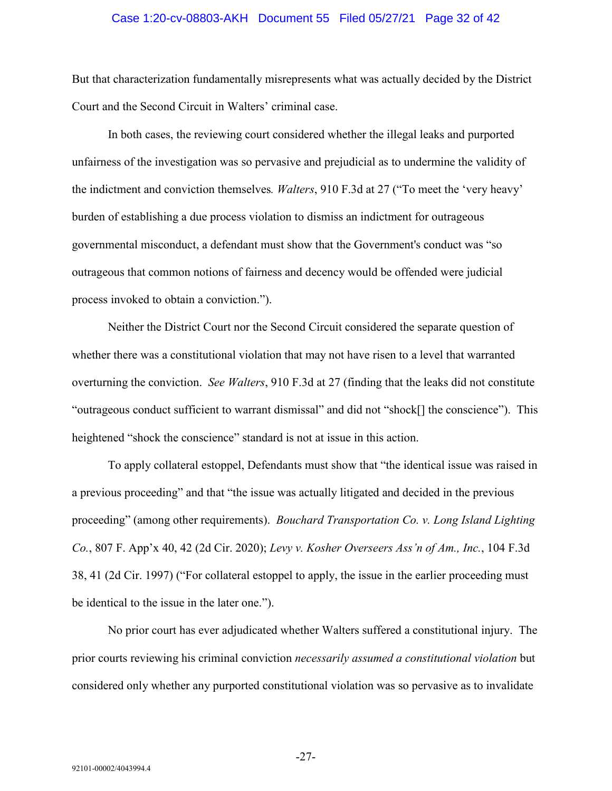#### Case 1:20-cv-08803-AKH Document 55 Filed 05/27/21 Page 32 of 42

But that characterization fundamentally misrepresents what was actually decided by the District Court and the Second Circuit in Walters' criminal case.

In both cases, the reviewing court considered whether the illegal leaks and purported unfairness of the investigation was so pervasive and prejudicial as to undermine the validity of the indictment and conviction themselves*. Walters*, 910 F.3d at 27 ("To meet the 'very heavy' burden of establishing a due process violation to dismiss an indictment for outrageous governmental misconduct, a defendant must show that the Government's conduct was "so outrageous that common notions of fairness and decency would be offended were judicial process invoked to obtain a conviction.").

Neither the District Court nor the Second Circuit considered the separate question of whether there was a constitutional violation that may not have risen to a level that warranted overturning the conviction. *See Walters*, 910 F.3d at 27 (finding that the leaks did not constitute "outrageous conduct sufficient to warrant dismissal" and did not "shock[] the conscience"). This heightened "shock the conscience" standard is not at issue in this action.

To apply collateral estoppel, Defendants must show that "the identical issue was raised in a previous proceeding" and that "the issue was actually litigated and decided in the previous proceeding" (among other requirements). *Bouchard Transportation Co. v. Long Island Lighting Co.*, 807 F. App'x 40, 42 (2d Cir. 2020); *Levy v. Kosher Overseers Ass'n of Am., Inc.*, 104 F.3d 38, 41 (2d Cir. 1997) ("For collateral estoppel to apply, the issue in the earlier proceeding must be identical to the issue in the later one.").

No prior court has ever adjudicated whether Walters suffered a constitutional injury. The prior courts reviewing his criminal conviction *necessarily assumed a constitutional violation* but considered only whether any purported constitutional violation was so pervasive as to invalidate

-27-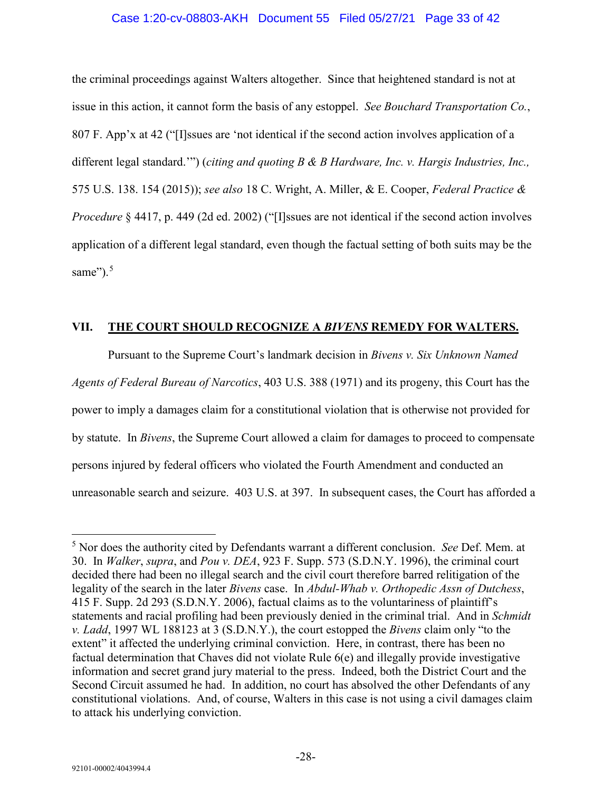#### Case 1:20-cv-08803-AKH Document 55 Filed 05/27/21 Page 33 of 42

the criminal proceedings against Walters altogether. Since that heightened standard is not at issue in this action, it cannot form the basis of any estoppel. *See Bouchard Transportation Co.*, 807 F. App'x at 42 ("[I]ssues are 'not identical if the second action involves application of a different legal standard.'") (*citing and quoting B & B Hardware, Inc. v. Hargis Industries, Inc.,*  575 U.S. 138. 154 (2015)); *see also* 18 C. Wright, A. Miller, & E. Cooper, *Federal Practice & Procedure* § 4417, p. 449 (2d ed. 2002) ("[I]ssues are not identical if the second action involves application of a different legal standard, even though the factual setting of both suits may be the same"). $5$ 

#### <span id="page-32-0"></span>**VII. THE COURT SHOULD RECOGNIZE A** *BIVENS* **REMEDY FOR WALTERS.**

Pursuant to the Supreme Court's landmark decision in *Bivens v. Six Unknown Named Agents of Federal Bureau of Narcotics*, 403 U.S. 388 (1971) and its progeny, this Court has the power to imply a damages claim for a constitutional violation that is otherwise not provided for by statute. In *Bivens*, the Supreme Court allowed a claim for damages to proceed to compensate persons injured by federal officers who violated the Fourth Amendment and conducted an unreasonable search and seizure. 403 U.S. at 397. In subsequent cases, the Court has afforded a

<span id="page-32-1"></span> <sup>5</sup> Nor does the authority cited by Defendants warrant a different conclusion. *See* Def. Mem. at 30. In *Walker*, *supra*, and *Pou v. DEA*, 923 F. Supp. 573 (S.D.N.Y. 1996), the criminal court decided there had been no illegal search and the civil court therefore barred relitigation of the legality of the search in the later *Bivens* case. In *Abdul-Whab v. Orthopedic Assn of Dutchess*, 415 F. Supp. 2d 293 (S.D.N.Y. 2006), factual claims as to the voluntariness of plaintiff's statements and racial profiling had been previously denied in the criminal trial. And in *Schmidt v. Ladd*, 1997 WL 188123 at 3 (S.D.N.Y.), the court estopped the *Bivens* claim only "to the extent" it affected the underlying criminal conviction. Here, in contrast, there has been no factual determination that Chaves did not violate Rule 6(e) and illegally provide investigative information and secret grand jury material to the press. Indeed, both the District Court and the Second Circuit assumed he had. In addition, no court has absolved the other Defendants of any constitutional violations. And, of course, Walters in this case is not using a civil damages claim to attack his underlying conviction.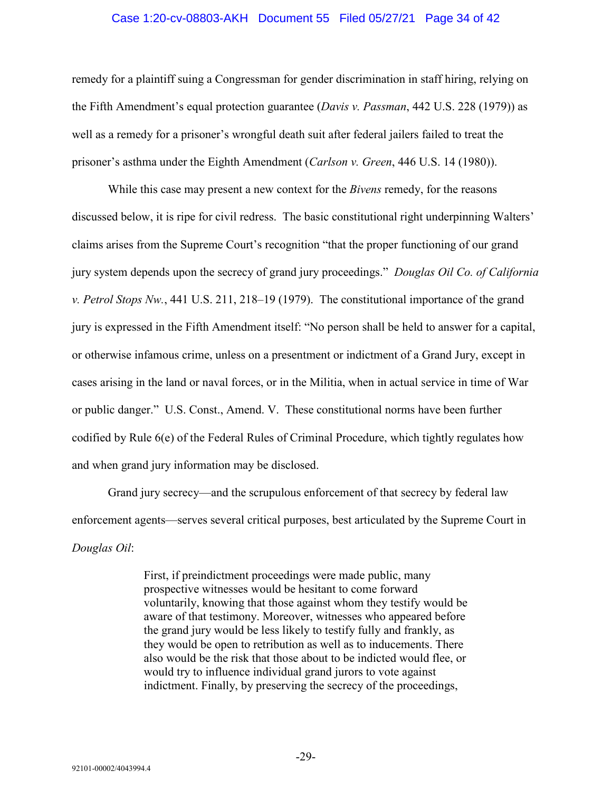#### Case 1:20-cv-08803-AKH Document 55 Filed 05/27/21 Page 34 of 42

remedy for a plaintiff suing a Congressman for gender discrimination in staff hiring, relying on the Fifth Amendment's equal protection guarantee (*Davis v. Passman*, 442 U.S. 228 (1979)) as well as a remedy for a prisoner's wrongful death suit after federal jailers failed to treat the prisoner's asthma under the Eighth Amendment (*Carlson v. Green*, 446 U.S. 14 (1980)).

While this case may present a new context for the *Bivens* remedy, for the reasons discussed below, it is ripe for civil redress. The basic constitutional right underpinning Walters' claims arises from the Supreme Court's recognition "that the proper functioning of our grand jury system depends upon the secrecy of grand jury proceedings." *Douglas Oil Co. of California v. Petrol Stops Nw.*, 441 U.S. 211, 218–19 (1979). The constitutional importance of the grand jury is expressed in the Fifth Amendment itself: "No person shall be held to answer for a capital, or otherwise infamous crime, unless on a presentment or indictment of a Grand Jury, except in cases arising in the land or naval forces, or in the Militia, when in actual service in time of War or public danger." U.S. Const., Amend. V. These constitutional norms have been further codified by Rule 6(e) of the Federal Rules of Criminal Procedure, which tightly regulates how and when grand jury information may be disclosed.

Grand jury secrecy—and the scrupulous enforcement of that secrecy by federal law enforcement agents—serves several critical purposes, best articulated by the Supreme Court in *Douglas Oil*:

> First, if preindictment proceedings were made public, many prospective witnesses would be hesitant to come forward voluntarily, knowing that those against whom they testify would be aware of that testimony. Moreover, witnesses who appeared before the grand jury would be less likely to testify fully and frankly, as they would be open to retribution as well as to inducements. There also would be the risk that those about to be indicted would flee, or would try to influence individual grand jurors to vote against indictment. Finally, by preserving the secrecy of the proceedings,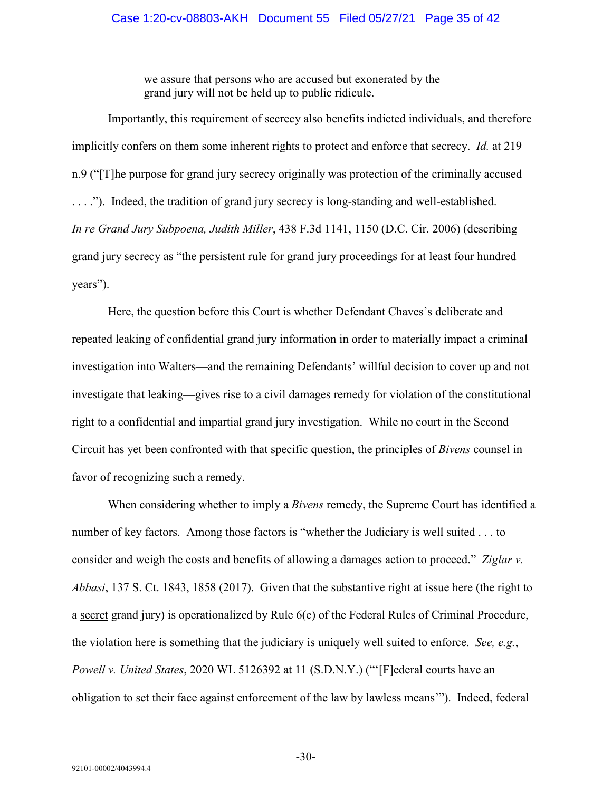#### Case 1:20-cv-08803-AKH Document 55 Filed 05/27/21 Page 35 of 42

we assure that persons who are accused but exonerated by the grand jury will not be held up to public ridicule.

Importantly, this requirement of secrecy also benefits indicted individuals, and therefore implicitly confers on them some inherent rights to protect and enforce that secrecy. *Id.* at 219 n.9 ("[T]he purpose for grand jury secrecy originally was protection of the criminally accused . . . ."). Indeed, the tradition of grand jury secrecy is long-standing and well-established. *In re Grand Jury Subpoena, Judith Miller*, 438 F.3d 1141, 1150 (D.C. Cir. 2006) (describing grand jury secrecy as "the persistent rule for grand jury proceedings for at least four hundred years").

Here, the question before this Court is whether Defendant Chaves's deliberate and repeated leaking of confidential grand jury information in order to materially impact a criminal investigation into Walters—and the remaining Defendants' willful decision to cover up and not investigate that leaking—gives rise to a civil damages remedy for violation of the constitutional right to a confidential and impartial grand jury investigation. While no court in the Second Circuit has yet been confronted with that specific question, the principles of *Bivens* counsel in favor of recognizing such a remedy.

When considering whether to imply a *Bivens* remedy, the Supreme Court has identified a number of key factors. Among those factors is "whether the Judiciary is well suited . . . to consider and weigh the costs and benefits of allowing a damages action to proceed." *Ziglar v. Abbasi*, 137 S. Ct. 1843, 1858 (2017). Given that the substantive right at issue here (the right to a secret grand jury) is operationalized by Rule 6(e) of the Federal Rules of Criminal Procedure, the violation here is something that the judiciary is uniquely well suited to enforce. *See, e.g.*, *Powell v. United States*, 2020 WL 5126392 at 11 (S.D.N.Y.) ("'[F]ederal courts have an obligation to set their face against enforcement of the law by lawless means'"). Indeed, federal

-30-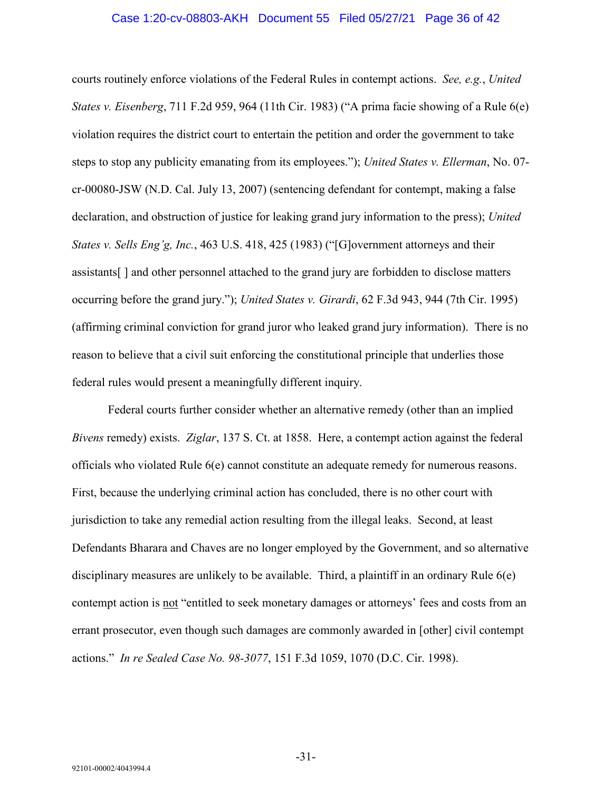#### Case 1:20-cv-08803-AKH Document 55 Filed 05/27/21 Page 36 of 42

courts routinely enforce violations of the Federal Rules in contempt actions. *See, e.g.*, *United States v. Eisenberg*, 711 F.2d 959, 964 (11th Cir. 1983) ("A prima facie showing of a Rule 6(e) violation requires the district court to entertain the petition and order the government to take steps to stop any publicity emanating from its employees."); *United States v. Ellerman*, No. 07 cr-00080-JSW (N.D. Cal. July 13, 2007) (sentencing defendant for contempt, making a false declaration, and obstruction of justice for leaking grand jury information to the press); *United States v. Sells Eng'g, Inc.*, 463 U.S. 418, 425 (1983) ("[G]overnment attorneys and their assistants[ ] and other personnel attached to the grand jury are forbidden to disclose matters occurring before the grand jury."); *United States v. Girardi*, 62 F.3d 943, 944 (7th Cir. 1995) (affirming criminal conviction for grand juror who leaked grand jury information). There is no reason to believe that a civil suit enforcing the constitutional principle that underlies those federal rules would present a meaningfully different inquiry.

Federal courts further consider whether an alternative remedy (other than an implied *Bivens* remedy) exists. *Ziglar*, 137 S. Ct. at 1858.Here, a contempt action against the federal officials who violated Rule 6(e) cannot constitute an adequate remedy for numerous reasons. First, because the underlying criminal action has concluded, there is no other court with jurisdiction to take any remedial action resulting from the illegal leaks. Second, at least Defendants Bharara and Chaves are no longer employed by the Government, and so alternative disciplinary measures are unlikely to be available. Third, a plaintiff in an ordinary Rule 6(e) contempt action is not "entitled to seek monetary damages or attorneys' fees and costs from an errant prosecutor, even though such damages are commonly awarded in [other] civil contempt actions." *In re Sealed Case No. 98-3077*, 151 F.3d 1059, 1070 (D.C. Cir. 1998).

-31-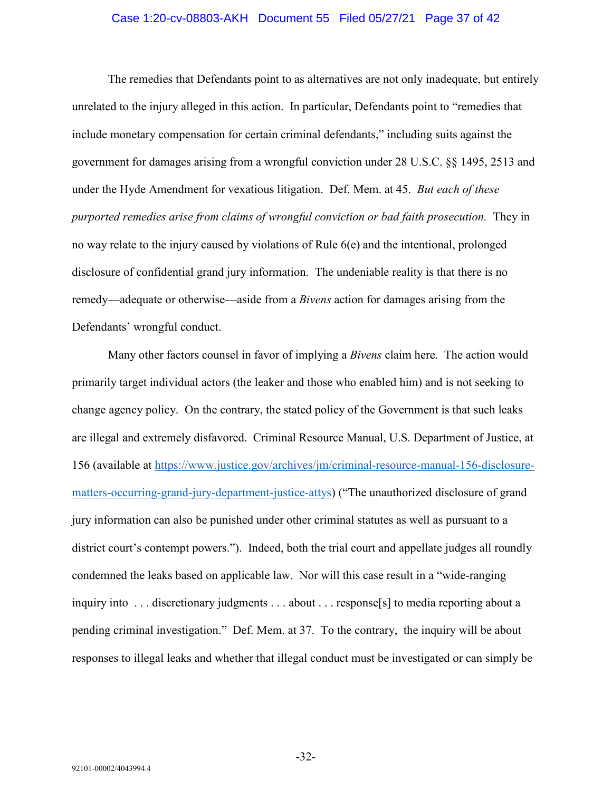#### Case 1:20-cv-08803-AKH Document 55 Filed 05/27/21 Page 37 of 42

The remedies that Defendants point to as alternatives are not only inadequate, but entirely unrelated to the injury alleged in this action. In particular, Defendants point to "remedies that include monetary compensation for certain criminal defendants," including suits against the government for damages arising from a wrongful conviction under 28 U.S.C. §§ 1495, 2513 and under the Hyde Amendment for vexatious litigation. Def. Mem. at 45. *But each of these purported remedies arise from claims of wrongful conviction or bad faith prosecution.* They in no way relate to the injury caused by violations of Rule 6(e) and the intentional, prolonged disclosure of confidential grand jury information. The undeniable reality is that there is no remedy—adequate or otherwise—aside from a *Bivens* action for damages arising from the Defendants' wrongful conduct.

Many other factors counsel in favor of implying a *Bivens* claim here. The action would primarily target individual actors (the leaker and those who enabled him) and is not seeking to change agency policy. On the contrary, the stated policy of the Government is that such leaks are illegal and extremely disfavored. Criminal Resource Manual, U.S. Department of Justice, at 156 (available at [https://www.justice.gov/archives/jm/criminal-resource-manual-156-disclosure](https://www.justice.gov/archives/jm/criminal-resource-manual-156-disclosure-matters-occurring-grand-jury-department-justice-attys)[matters-occurring-grand-jury-department-justice-attys\)](https://www.justice.gov/archives/jm/criminal-resource-manual-156-disclosure-matters-occurring-grand-jury-department-justice-attys) ("The unauthorized disclosure of grand jury information can also be punished under other criminal statutes as well as pursuant to a district court's contempt powers."). Indeed, both the trial court and appellate judges all roundly condemned the leaks based on applicable law. Nor will this case result in a "wide-ranging inquiry into . . . discretionary judgments . . . about . . . response[s] to media reporting about a pending criminal investigation." Def. Mem. at 37. To the contrary, the inquiry will be about responses to illegal leaks and whether that illegal conduct must be investigated or can simply be

-32-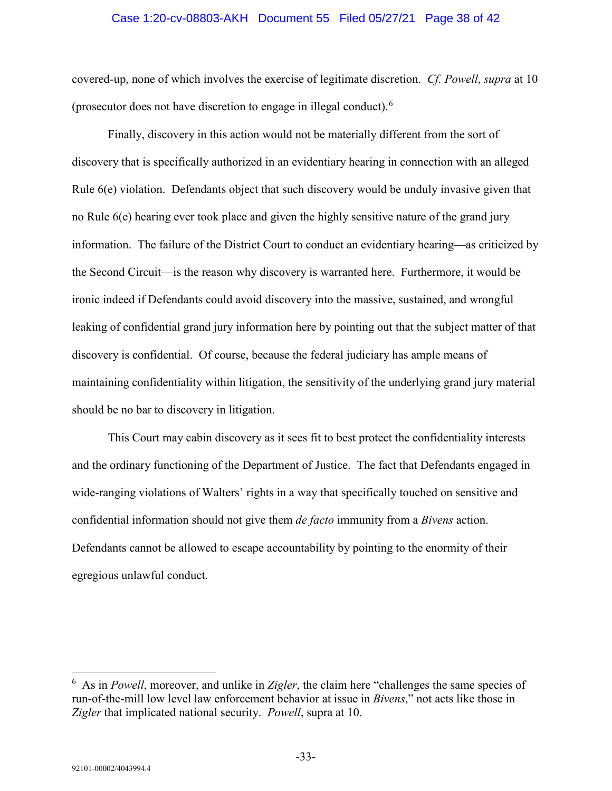#### Case 1:20-cv-08803-AKH Document 55 Filed 05/27/21 Page 38 of 42

covered-up, none of which involves the exercise of legitimate discretion. *Cf. Powell*, *supra* at 10 (prosecutor does not have discretion to engage in illegal conduct).[6](#page-37-0)

Finally, discovery in this action would not be materially different from the sort of discovery that is specifically authorized in an evidentiary hearing in connection with an alleged Rule 6(e) violation. Defendants object that such discovery would be unduly invasive given that no Rule 6(e) hearing ever took place and given the highly sensitive nature of the grand jury information. The failure of the District Court to conduct an evidentiary hearing—as criticized by the Second Circuit—is the reason why discovery is warranted here. Furthermore, it would be ironic indeed if Defendants could avoid discovery into the massive, sustained, and wrongful leaking of confidential grand jury information here by pointing out that the subject matter of that discovery is confidential. Of course, because the federal judiciary has ample means of maintaining confidentiality within litigation, the sensitivity of the underlying grand jury material should be no bar to discovery in litigation.

This Court may cabin discovery as it sees fit to best protect the confidentiality interests and the ordinary functioning of the Department of Justice. The fact that Defendants engaged in wide-ranging violations of Walters' rights in a way that specifically touched on sensitive and confidential information should not give them *de facto* immunity from a *Bivens* action. Defendants cannot be allowed to escape accountability by pointing to the enormity of their egregious unlawful conduct.

<span id="page-37-0"></span> $\frac{1}{6}$  As in *Powell*, moreover, and unlike in *Zigler*, the claim here "challenges the same species of run-of-the-mill low level law enforcement behavior at issue in *Bivens*," not acts like those in *Zigler* that implicated national security. *Powell*, supra at 10.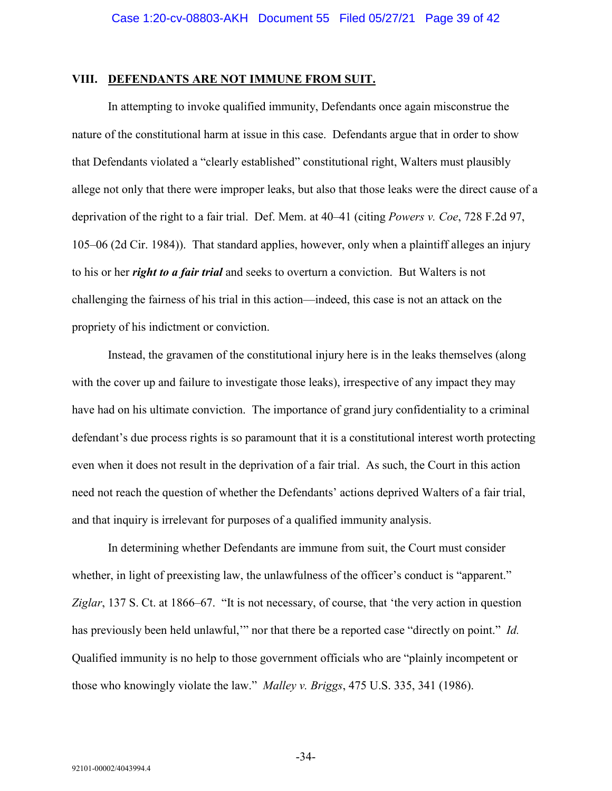#### <span id="page-38-0"></span>**VIII. DEFENDANTS ARE NOT IMMUNE FROM SUIT.**

In attempting to invoke qualified immunity, Defendants once again misconstrue the nature of the constitutional harm at issue in this case. Defendants argue that in order to show that Defendants violated a "clearly established" constitutional right, Walters must plausibly allege not only that there were improper leaks, but also that those leaks were the direct cause of a deprivation of the right to a fair trial. Def. Mem. at 40–41 (citing *Powers v. Coe*, 728 F.2d 97, 105–06 (2d Cir. 1984)). That standard applies, however, only when a plaintiff alleges an injury to his or her *right to a fair trial* and seeks to overturn a conviction. But Walters is not challenging the fairness of his trial in this action—indeed, this case is not an attack on the propriety of his indictment or conviction.

Instead, the gravamen of the constitutional injury here is in the leaks themselves (along with the cover up and failure to investigate those leaks), irrespective of any impact they may have had on his ultimate conviction. The importance of grand jury confidentiality to a criminal defendant's due process rights is so paramount that it is a constitutional interest worth protecting even when it does not result in the deprivation of a fair trial. As such, the Court in this action need not reach the question of whether the Defendants' actions deprived Walters of a fair trial, and that inquiry is irrelevant for purposes of a qualified immunity analysis.

In determining whether Defendants are immune from suit, the Court must consider whether, in light of preexisting law, the unlawfulness of the officer's conduct is "apparent." *Ziglar*, 137 S. Ct. at 1866–67. "It is not necessary, of course, that 'the very action in question has previously been held unlawful,'" nor that there be a reported case "directly on point." *Id.* Qualified immunity is no help to those government officials who are "plainly incompetent or those who knowingly violate the law." *Malley v. Briggs*, 475 U.S. 335, 341 (1986).

-34-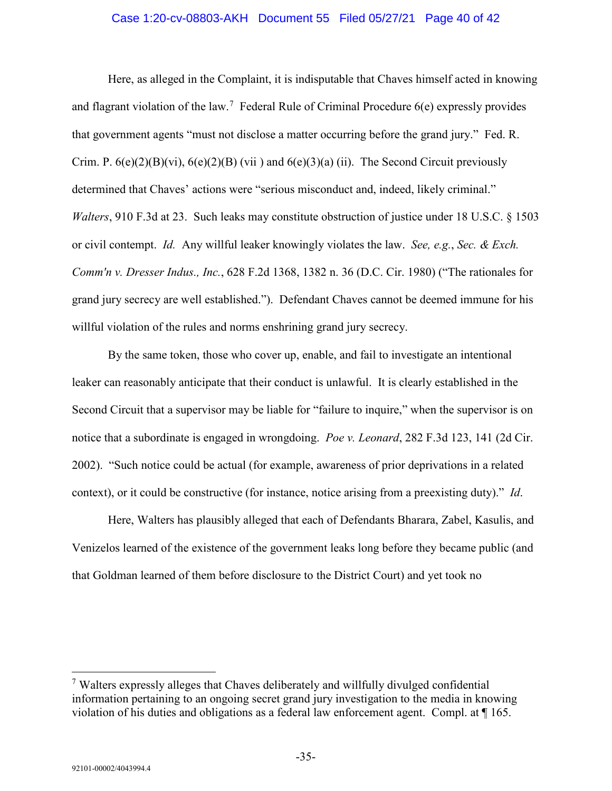#### Case 1:20-cv-08803-AKH Document 55 Filed 05/27/21 Page 40 of 42

Here, as alleged in the Complaint, it is indisputable that Chaves himself acted in knowing and flagrant violation of the law.<sup>[7](#page-39-0)</sup> Federal Rule of Criminal Procedure  $6(e)$  expressly provides that government agents "must not disclose a matter occurring before the grand jury." Fed. R. Crim. P.  $6(e)(2)(B)(vi)$ ,  $6(e)(2)(B)(vii)$  and  $6(e)(3)(a)$  (ii). The Second Circuit previously determined that Chaves' actions were "serious misconduct and, indeed, likely criminal." *Walters*, 910 F.3d at 23. Such leaks may constitute obstruction of justice under 18 U.S.C. § 1503 or civil contempt. *Id.* Any willful leaker knowingly violates the law. *See, e.g.*, *Sec. & Exch. Comm'n v. Dresser Indus., Inc.*, 628 F.2d 1368, 1382 n. 36 (D.C. Cir. 1980) ("The rationales for grand jury secrecy are well established."). Defendant Chaves cannot be deemed immune for his willful violation of the rules and norms enshrining grand jury secrecy.

By the same token, those who cover up, enable, and fail to investigate an intentional leaker can reasonably anticipate that their conduct is unlawful. It is clearly established in the Second Circuit that a supervisor may be liable for "failure to inquire," when the supervisor is on notice that a subordinate is engaged in wrongdoing. *Poe v. Leonard*, 282 F.3d 123, 141 (2d Cir. 2002). "Such notice could be actual (for example, awareness of prior deprivations in a related context), or it could be constructive (for instance, notice arising from a preexisting duty)." *Id*.

Here, Walters has plausibly alleged that each of Defendants Bharara, Zabel, Kasulis, and Venizelos learned of the existence of the government leaks long before they became public (and that Goldman learned of them before disclosure to the District Court) and yet took no

<span id="page-39-0"></span><sup>&</sup>lt;sup>7</sup> Walters expressly alleges that Chaves deliberately and willfully divulged confidential information pertaining to an ongoing secret grand jury investigation to the media in knowing violation of his duties and obligations as a federal law enforcement agent. Compl. at ¶ 165.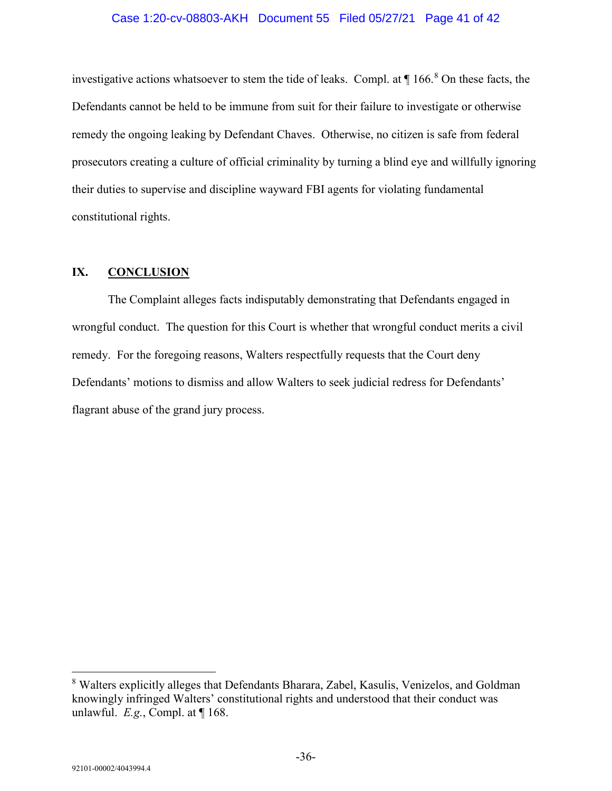#### Case 1:20-cv-08803-AKH Document 55 Filed 05/27/21 Page 41 of 42

investigative actions whatsoever to stem the tide of leaks. Compl. at  $\P$  166.<sup>[8](#page-40-1)</sup> On these facts, the Defendants cannot be held to be immune from suit for their failure to investigate or otherwise remedy the ongoing leaking by Defendant Chaves. Otherwise, no citizen is safe from federal prosecutors creating a culture of official criminality by turning a blind eye and willfully ignoring their duties to supervise and discipline wayward FBI agents for violating fundamental constitutional rights.

### <span id="page-40-0"></span>**IX. CONCLUSION**

The Complaint alleges facts indisputably demonstrating that Defendants engaged in wrongful conduct. The question for this Court is whether that wrongful conduct merits a civil remedy. For the foregoing reasons, Walters respectfully requests that the Court deny Defendants' motions to dismiss and allow Walters to seek judicial redress for Defendants' flagrant abuse of the grand jury process.

<span id="page-40-1"></span> <sup>8</sup> Walters explicitly alleges that Defendants Bharara, Zabel, Kasulis, Venizelos, and Goldman knowingly infringed Walters' constitutional rights and understood that their conduct was unlawful. *E.g.*, Compl. at ¶ 168.